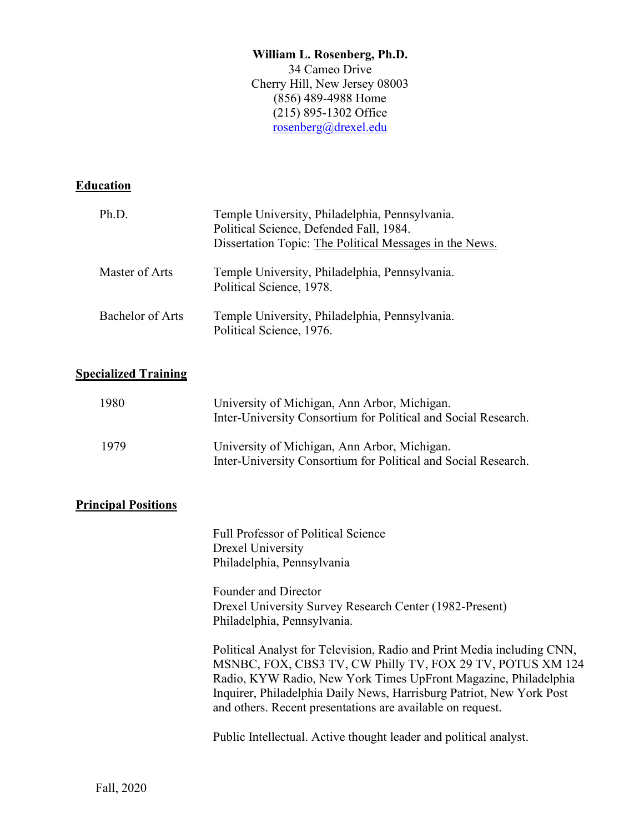## **William L. Rosenberg, Ph.D.** 34 Cameo Drive Cherry Hill, New Jersey 08003 (856) 489-4988 Home (215) 895-1302 Office [rosenberg@drexel.edu](mailto:rosenberg@drexel.edu)

## **Education**

| Ph.D.            | Temple University, Philadelphia, Pennsylvania.<br>Political Science, Defended Fall, 1984.<br>Dissertation Topic: The Political Messages in the News. |
|------------------|------------------------------------------------------------------------------------------------------------------------------------------------------|
| Master of Arts   | Temple University, Philadelphia, Pennsylvania.<br>Political Science, 1978.                                                                           |
| Bachelor of Arts | Temple University, Philadelphia, Pennsylvania.<br>Political Science, 1976.                                                                           |

## **Specialized Training**

| 1980 | University of Michigan, Ann Arbor, Michigan.<br>Inter-University Consortium for Political and Social Research. |
|------|----------------------------------------------------------------------------------------------------------------|
| 1979 | University of Michigan, Ann Arbor, Michigan.<br>Inter-University Consortium for Political and Social Research. |

## **Principal Positions**

Full Professor of Political Science Drexel University Philadelphia, Pennsylvania

Founder and Director Drexel University Survey Research Center (1982-Present) Philadelphia, Pennsylvania.

Political Analyst for Television, Radio and Print Media including CNN, MSNBC, FOX, CBS3 TV, CW Philly TV, FOX 29 TV, POTUS XM 124 Radio, KYW Radio, New York Times UpFront Magazine, Philadelphia Inquirer, Philadelphia Daily News, Harrisburg Patriot, New York Post and others. Recent presentations are available on request.

Public Intellectual. Active thought leader and political analyst.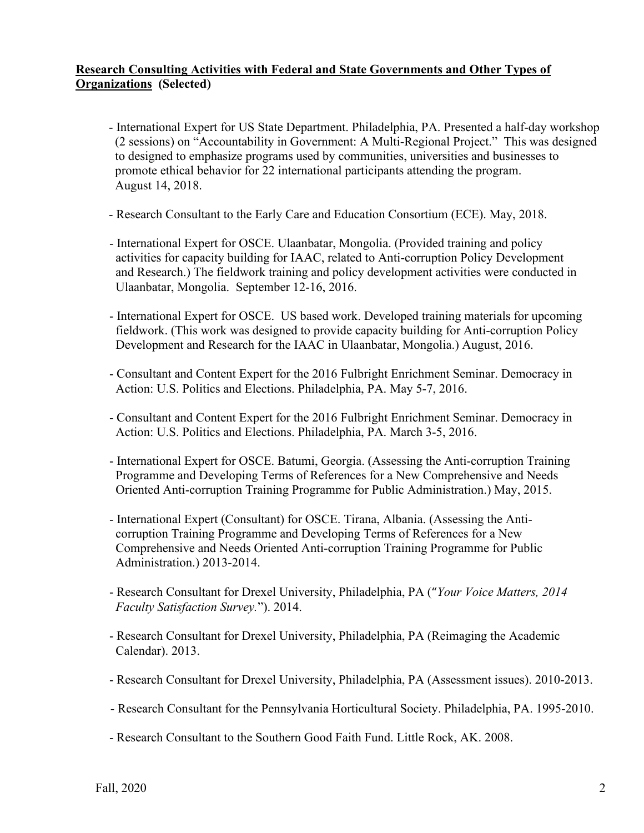## **Research Consulting Activities with Federal and State Governments and Other Types of Organizations (Selected)**

- International Expert for US State Department. Philadelphia, PA. Presented a half-day workshop (2 sessions) on "Accountability in Government: A Multi-Regional Project." This was designed to designed to emphasize programs used by communities, universities and businesses to promote ethical behavior for 22 international participants attending the program. August 14, 2018.
- Research Consultant to the Early Care and Education Consortium (ECE). May, 2018.
- International Expert for OSCE. Ulaanbatar, Mongolia. (Provided training and policy activities for capacity building for IAAC, related to Anti-corruption Policy Development and Research.) The fieldwork training and policy development activities were conducted in Ulaanbatar, Mongolia. September 12-16, 2016.
- International Expert for OSCE. US based work. Developed training materials for upcoming fieldwork. (This work was designed to provide capacity building for Anti-corruption Policy Development and Research for the IAAC in Ulaanbatar, Mongolia.) August, 2016.
- Consultant and Content Expert for the 2016 Fulbright Enrichment Seminar. Democracy in Action: U.S. Politics and Elections. Philadelphia, PA. May 5-7, 2016.
- Consultant and Content Expert for the 2016 Fulbright Enrichment Seminar. Democracy in Action: U.S. Politics and Elections. Philadelphia, PA. March 3-5, 2016.
- International Expert for OSCE. Batumi, Georgia. (Assessing the Anti-corruption Training Programme and Developing Terms of References for a New Comprehensive and Needs Oriented Anti-corruption Training Programme for Public Administration.) May, 2015.
- International Expert (Consultant) for OSCE. Tirana, Albania. (Assessing the Anti corruption Training Programme and Developing Terms of References for a New Comprehensive and Needs Oriented Anti-corruption Training Programme for Public Administration.) 2013-2014.
- Research Consultant for Drexel University, Philadelphia, PA ("*Your Voice Matters, 2014 Faculty Satisfaction Survey.*"). 2014.
- Research Consultant for Drexel University, Philadelphia, PA (Reimaging the Academic Calendar). 2013.
- Research Consultant for Drexel University, Philadelphia, PA (Assessment issues). 2010-2013.
- Research Consultant for the Pennsylvania Horticultural Society. Philadelphia, PA. 1995-2010.
- Research Consultant to the Southern Good Faith Fund. Little Rock, AK. 2008.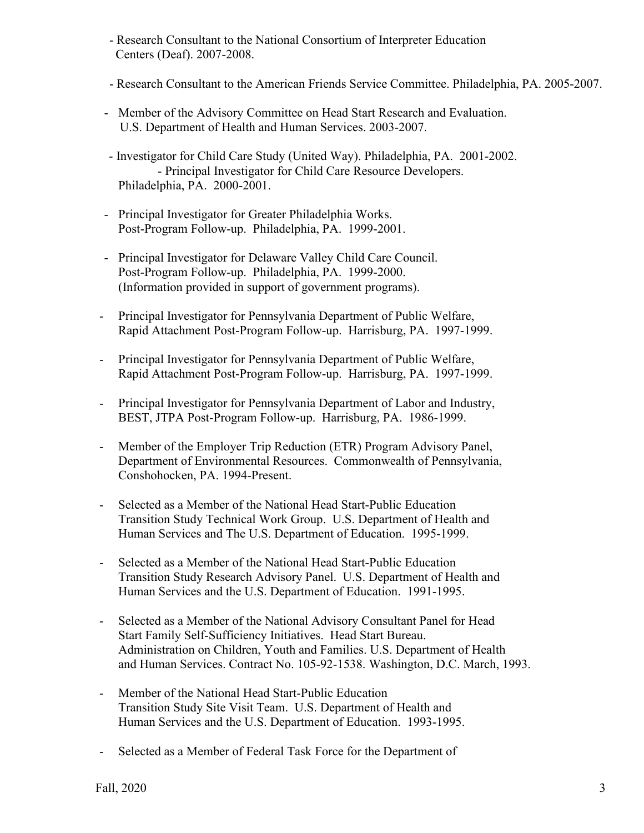- Research Consultant to the National Consortium of Interpreter Education Centers (Deaf). 2007-2008.
- Research Consultant to the American Friends Service Committee. Philadelphia, PA. 2005-2007.
- Member of the Advisory Committee on Head Start Research and Evaluation. U.S. Department of Health and Human Services. 2003-2007.
- Investigator for Child Care Study (United Way). Philadelphia, PA. 2001-2002. - Principal Investigator for Child Care Resource Developers. Philadelphia, PA. 2000-2001.
- Principal Investigator for Greater Philadelphia Works. Post-Program Follow-up. Philadelphia, PA. 1999-2001.
- Principal Investigator for Delaware Valley Child Care Council. Post-Program Follow-up. Philadelphia, PA. 1999-2000. (Information provided in support of government programs).
- Principal Investigator for Pennsylvania Department of Public Welfare, Rapid Attachment Post-Program Follow-up. Harrisburg, PA. 1997-1999.
- Principal Investigator for Pennsylvania Department of Public Welfare, Rapid Attachment Post-Program Follow-up. Harrisburg, PA. 1997-1999.
- Principal Investigator for Pennsylvania Department of Labor and Industry, BEST, JTPA Post-Program Follow-up. Harrisburg, PA. 1986-1999.
- Member of the Employer Trip Reduction (ETR) Program Advisory Panel, Department of Environmental Resources. Commonwealth of Pennsylvania, Conshohocken, PA. 1994-Present.
- Selected as a Member of the National Head Start-Public Education Transition Study Technical Work Group. U.S. Department of Health and Human Services and The U.S. Department of Education. 1995-1999.
- Selected as a Member of the National Head Start-Public Education Transition Study Research Advisory Panel. U.S. Department of Health and Human Services and the U.S. Department of Education. 1991-1995.
- Selected as a Member of the National Advisory Consultant Panel for Head Start Family Self-Sufficiency Initiatives. Head Start Bureau. Administration on Children, Youth and Families. U.S. Department of Health and Human Services. Contract No. 105-92-1538. Washington, D.C. March, 1993.
- Member of the National Head Start-Public Education Transition Study Site Visit Team. U.S. Department of Health and Human Services and the U.S. Department of Education. 1993-1995.
- Selected as a Member of Federal Task Force for the Department of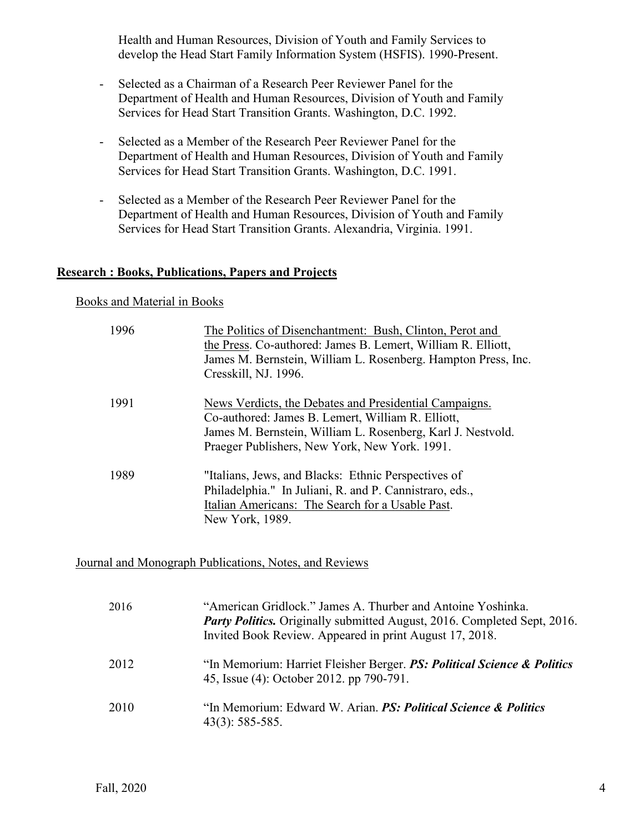Health and Human Resources, Division of Youth and Family Services to develop the Head Start Family Information System (HSFIS). 1990-Present.

- Selected as a Chairman of a Research Peer Reviewer Panel for the Department of Health and Human Resources, Division of Youth and Family Services for Head Start Transition Grants. Washington, D.C. 1992.
- Selected as a Member of the Research Peer Reviewer Panel for the Department of Health and Human Resources, Division of Youth and Family Services for Head Start Transition Grants. Washington, D.C. 1991.
- Selected as a Member of the Research Peer Reviewer Panel for the Department of Health and Human Resources, Division of Youth and Family Services for Head Start Transition Grants. Alexandria, Virginia. 1991.

## **Research : Books, Publications, Papers and Projects**

### Books and Material in Books

| 1996 | The Politics of Disenchantment: Bush, Clinton, Perot and<br>the Press. Co-authored: James B. Lemert, William R. Elliott,<br>James M. Bernstein, William L. Rosenberg. Hampton Press, Inc.<br>Cresskill, NJ. 1996.           |
|------|-----------------------------------------------------------------------------------------------------------------------------------------------------------------------------------------------------------------------------|
| 1991 | News Verdicts, the Debates and Presidential Campaigns.<br>Co-authored: James B. Lemert, William R. Elliott,<br>James M. Bernstein, William L. Rosenberg, Karl J. Nestvold.<br>Praeger Publishers, New York, New York. 1991. |
| 1989 | "Italians, Jews, and Blacks: Ethnic Perspectives of<br>Philadelphia." In Juliani, R. and P. Cannistraro, eds.,<br>Italian Americans: The Search for a Usable Past.<br>New York, 1989.                                       |

Journal and Monograph Publications, Notes, and Reviews

| 2016 | "American Gridlock." James A. Thurber and Antoine Yoshinka.<br><b>Party Politics.</b> Originally submitted August, 2016. Completed Sept, 2016.<br>Invited Book Review. Appeared in print August 17, 2018. |
|------|-----------------------------------------------------------------------------------------------------------------------------------------------------------------------------------------------------------|
| 2012 | "In Memorium: Harriet Fleisher Berger. PS: Political Science & Politics<br>45, Issue (4): October 2012. pp 790-791.                                                                                       |
| 2010 | "In Memorium: Edward W. Arian. <b>PS: Political Science &amp; Politics</b><br>$43(3): 585-585.$                                                                                                           |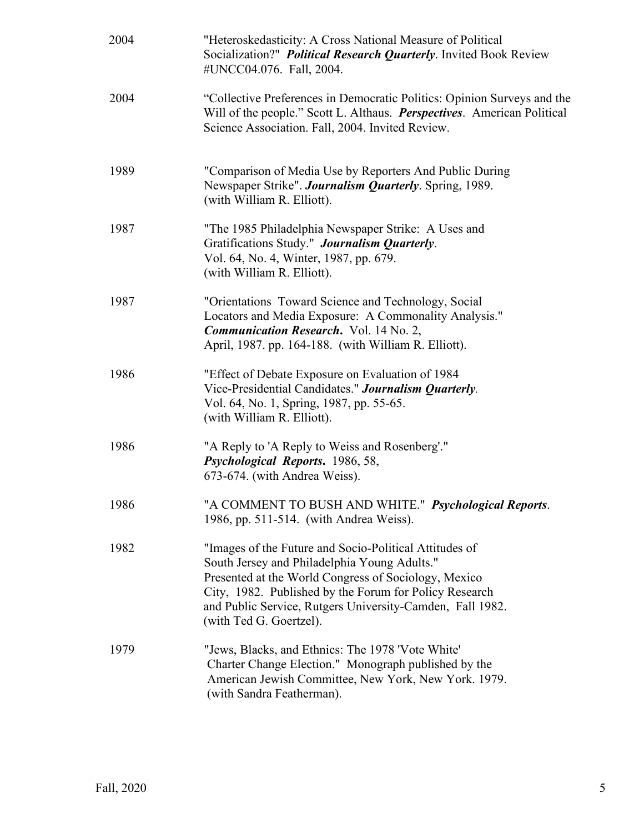| 2004 | "Heteroskedasticity: A Cross National Measure of Political<br>Socialization?" Political Research Quarterly. Invited Book Review<br>#UNCC04.076. Fall, 2004.                                                                                                                                                      |
|------|------------------------------------------------------------------------------------------------------------------------------------------------------------------------------------------------------------------------------------------------------------------------------------------------------------------|
| 2004 | "Collective Preferences in Democratic Politics: Opinion Surveys and the<br>Will of the people." Scott L. Althaus. <i>Perspectives</i> . American Political<br>Science Association. Fall, 2004. Invited Review.                                                                                                   |
| 1989 | "Comparison of Media Use by Reporters And Public During<br>Newspaper Strike". Journalism Quarterly. Spring, 1989.<br>(with William R. Elliott).                                                                                                                                                                  |
| 1987 | "The 1985 Philadelphia Newspaper Strike: A Uses and<br>Gratifications Study." Journalism Quarterly.<br>Vol. 64, No. 4, Winter, 1987, pp. 679.<br>(with William R. Elliott).                                                                                                                                      |
| 1987 | "Orientations Toward Science and Technology, Social<br>Locators and Media Exposure: A Commonality Analysis."<br><b>Communication Research.</b> Vol. 14 No. 2,<br>April, 1987. pp. 164-188. (with William R. Elliott).                                                                                            |
| 1986 | "Effect of Debate Exposure on Evaluation of 1984<br>Vice-Presidential Candidates." Journalism Quarterly.<br>Vol. 64, No. 1, Spring, 1987, pp. 55-65.<br>(with William R. Elliott).                                                                                                                               |
| 1986 | "A Reply to 'A Reply to Weiss and Rosenberg'."<br>Psychological Reports. 1986, 58,<br>673-674. (with Andrea Weiss).                                                                                                                                                                                              |
| 1986 | "A COMMENT TO BUSH AND WHITE." Psychological Reports.<br>1986, pp. 511-514. (with Andrea Weiss).                                                                                                                                                                                                                 |
| 1982 | "Images of the Future and Socio-Political Attitudes of<br>South Jersey and Philadelphia Young Adults."<br>Presented at the World Congress of Sociology, Mexico<br>City, 1982. Published by the Forum for Policy Research<br>and Public Service, Rutgers University-Camden, Fall 1982.<br>(with Ted G. Goertzel). |
| 1979 | "Jews, Blacks, and Ethnics: The 1978 'Vote White'<br>Charter Change Election." Monograph published by the<br>American Jewish Committee, New York, New York. 1979.<br>(with Sandra Featherman).                                                                                                                   |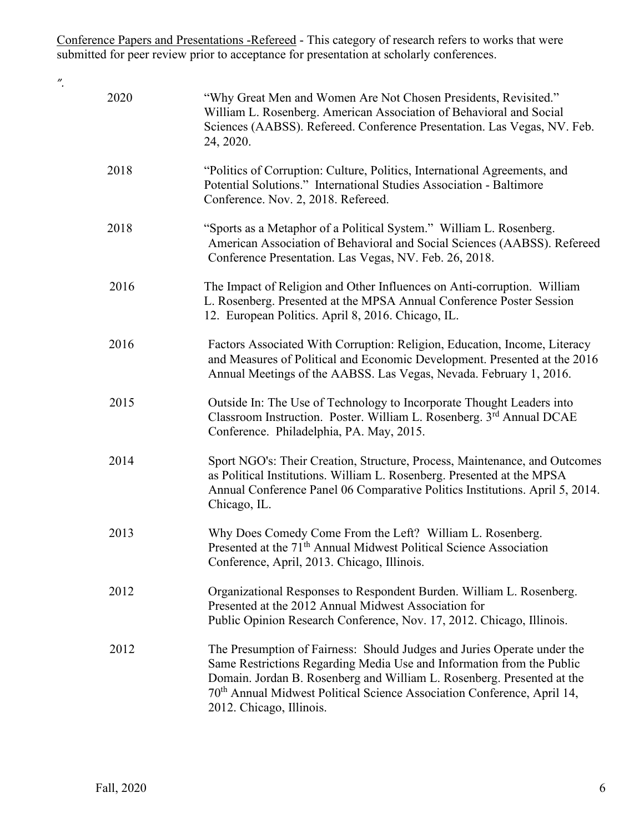Conference Papers and Presentations -Refereed - This category of research refers to works that were submitted for peer review prior to acceptance for presentation at scholarly conferences.

*".*

| 2020 | "Why Great Men and Women Are Not Chosen Presidents, Revisited."<br>William L. Rosenberg. American Association of Behavioral and Social<br>Sciences (AABSS). Refereed. Conference Presentation. Las Vegas, NV. Feb.<br>24, 2020.                                                                                                               |
|------|-----------------------------------------------------------------------------------------------------------------------------------------------------------------------------------------------------------------------------------------------------------------------------------------------------------------------------------------------|
| 2018 | "Politics of Corruption: Culture, Politics, International Agreements, and<br>Potential Solutions." International Studies Association - Baltimore<br>Conference. Nov. 2, 2018. Refereed.                                                                                                                                                       |
| 2018 | "Sports as a Metaphor of a Political System." William L. Rosenberg.<br>American Association of Behavioral and Social Sciences (AABSS). Refereed<br>Conference Presentation. Las Vegas, NV. Feb. 26, 2018.                                                                                                                                     |
| 2016 | The Impact of Religion and Other Influences on Anti-corruption. William<br>L. Rosenberg. Presented at the MPSA Annual Conference Poster Session<br>12. European Politics. April 8, 2016. Chicago, IL.                                                                                                                                         |
| 2016 | Factors Associated With Corruption: Religion, Education, Income, Literacy<br>and Measures of Political and Economic Development. Presented at the 2016<br>Annual Meetings of the AABSS. Las Vegas, Nevada. February 1, 2016.                                                                                                                  |
| 2015 | Outside In: The Use of Technology to Incorporate Thought Leaders into<br>Classroom Instruction. Poster. William L. Rosenberg. 3rd Annual DCAE<br>Conference. Philadelphia, PA. May, 2015.                                                                                                                                                     |
| 2014 | Sport NGO's: Their Creation, Structure, Process, Maintenance, and Outcomes<br>as Political Institutions. William L. Rosenberg. Presented at the MPSA<br>Annual Conference Panel 06 Comparative Politics Institutions. April 5, 2014.<br>Chicago, IL.                                                                                          |
| 2013 | Why Does Comedy Come From the Left? William L. Rosenberg.<br>Presented at the 71 <sup>th</sup> Annual Midwest Political Science Association<br>Conference, April, 2013. Chicago, Illinois.                                                                                                                                                    |
| 2012 | Organizational Responses to Respondent Burden. William L. Rosenberg.<br>Presented at the 2012 Annual Midwest Association for<br>Public Opinion Research Conference, Nov. 17, 2012. Chicago, Illinois.                                                                                                                                         |
| 2012 | The Presumption of Fairness: Should Judges and Juries Operate under the<br>Same Restrictions Regarding Media Use and Information from the Public<br>Domain. Jordan B. Rosenberg and William L. Rosenberg. Presented at the<br>70 <sup>th</sup> Annual Midwest Political Science Association Conference, April 14,<br>2012. Chicago, Illinois. |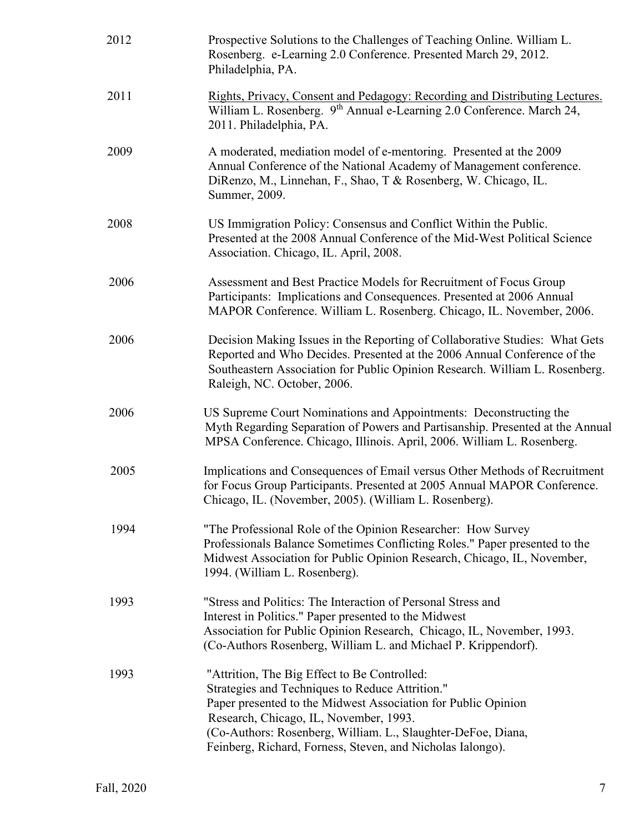| 2012 | Prospective Solutions to the Challenges of Teaching Online. William L.<br>Rosenberg. e-Learning 2.0 Conference. Presented March 29, 2012.<br>Philadelphia, PA.                                                                                                                                                                           |
|------|------------------------------------------------------------------------------------------------------------------------------------------------------------------------------------------------------------------------------------------------------------------------------------------------------------------------------------------|
| 2011 | Rights, Privacy, Consent and Pedagogy: Recording and Distributing Lectures.<br>William L. Rosenberg. 9 <sup>th</sup> Annual e-Learning 2.0 Conference. March 24,<br>2011. Philadelphia, PA.                                                                                                                                              |
| 2009 | A moderated, mediation model of e-mentoring. Presented at the 2009<br>Annual Conference of the National Academy of Management conference.<br>DiRenzo, M., Linnehan, F., Shao, T & Rosenberg, W. Chicago, IL.<br>Summer, 2009.                                                                                                            |
| 2008 | US Immigration Policy: Consensus and Conflict Within the Public.<br>Presented at the 2008 Annual Conference of the Mid-West Political Science<br>Association. Chicago, IL. April, 2008.                                                                                                                                                  |
| 2006 | Assessment and Best Practice Models for Recruitment of Focus Group<br>Participants: Implications and Consequences. Presented at 2006 Annual<br>MAPOR Conference. William L. Rosenberg. Chicago, IL. November, 2006.                                                                                                                      |
| 2006 | Decision Making Issues in the Reporting of Collaborative Studies: What Gets<br>Reported and Who Decides. Presented at the 2006 Annual Conference of the<br>Southeastern Association for Public Opinion Research. William L. Rosenberg.<br>Raleigh, NC. October, 2006.                                                                    |
| 2006 | US Supreme Court Nominations and Appointments: Deconstructing the<br>Myth Regarding Separation of Powers and Partisanship. Presented at the Annual<br>MPSA Conference. Chicago, Illinois. April, 2006. William L. Rosenberg.                                                                                                             |
| 2005 | Implications and Consequences of Email versus Other Methods of Recruitment<br>for Focus Group Participants. Presented at 2005 Annual MAPOR Conference.<br>Chicago, IL. (November, 2005). (William L. Rosenberg).                                                                                                                         |
| 1994 | "The Professional Role of the Opinion Researcher: How Survey<br>Professionals Balance Sometimes Conflicting Roles." Paper presented to the<br>Midwest Association for Public Opinion Research, Chicago, IL, November,<br>1994. (William L. Rosenberg).                                                                                   |
| 1993 | "Stress and Politics: The Interaction of Personal Stress and<br>Interest in Politics." Paper presented to the Midwest<br>Association for Public Opinion Research, Chicago, IL, November, 1993.<br>(Co-Authors Rosenberg, William L. and Michael P. Krippendorf).                                                                         |
| 1993 | "Attrition, The Big Effect to Be Controlled:<br>Strategies and Techniques to Reduce Attrition."<br>Paper presented to the Midwest Association for Public Opinion<br>Research, Chicago, IL, November, 1993.<br>(Co-Authors: Rosenberg, William. L., Slaughter-DeFoe, Diana,<br>Feinberg, Richard, Forness, Steven, and Nicholas Ialongo). |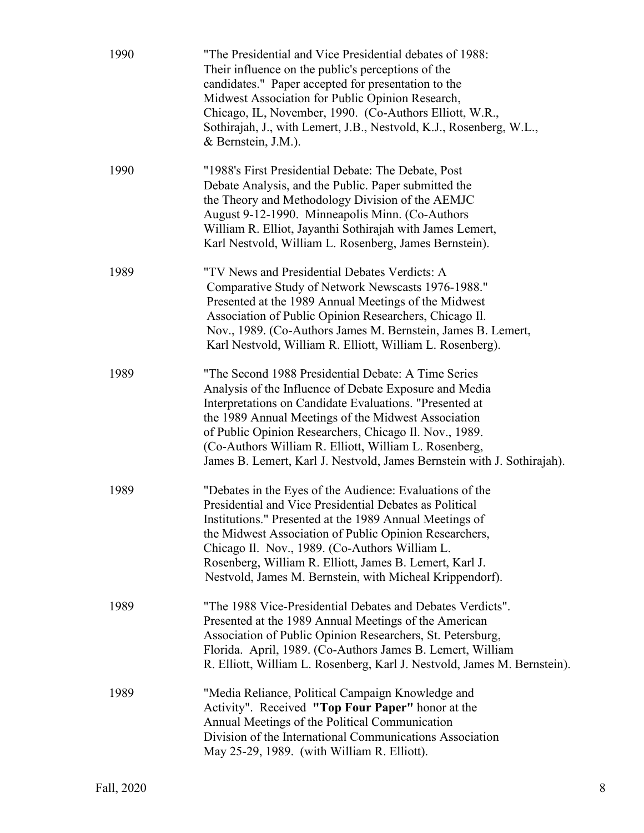| 1990 | "The Presidential and Vice Presidential debates of 1988:<br>Their influence on the public's perceptions of the<br>candidates." Paper accepted for presentation to the<br>Midwest Association for Public Opinion Research,<br>Chicago, IL, November, 1990. (Co-Authors Elliott, W.R.,<br>Sothirajah, J., with Lemert, J.B., Nestvold, K.J., Rosenberg, W.L.,<br>& Bernstein, J.M.).                                            |
|------|-------------------------------------------------------------------------------------------------------------------------------------------------------------------------------------------------------------------------------------------------------------------------------------------------------------------------------------------------------------------------------------------------------------------------------|
| 1990 | "1988's First Presidential Debate: The Debate, Post<br>Debate Analysis, and the Public. Paper submitted the<br>the Theory and Methodology Division of the AEMJC<br>August 9-12-1990. Minneapolis Minn. (Co-Authors<br>William R. Elliot, Jayanthi Sothirajah with James Lemert,<br>Karl Nestvold, William L. Rosenberg, James Bernstein).                                                                                     |
| 1989 | "TV News and Presidential Debates Verdicts: A<br>Comparative Study of Network Newscasts 1976-1988."<br>Presented at the 1989 Annual Meetings of the Midwest<br>Association of Public Opinion Researchers, Chicago Il.<br>Nov., 1989. (Co-Authors James M. Bernstein, James B. Lemert,<br>Karl Nestvold, William R. Elliott, William L. Rosenberg).                                                                            |
| 1989 | "The Second 1988 Presidential Debate: A Time Series<br>Analysis of the Influence of Debate Exposure and Media<br>Interpretations on Candidate Evaluations. "Presented at<br>the 1989 Annual Meetings of the Midwest Association<br>of Public Opinion Researchers, Chicago Il. Nov., 1989.<br>(Co-Authors William R. Elliott, William L. Rosenberg,<br>James B. Lemert, Karl J. Nestvold, James Bernstein with J. Sothirajah). |
| 1989 | "Debates in the Eyes of the Audience: Evaluations of the<br>Presidential and Vice Presidential Debates as Political<br>Institutions." Presented at the 1989 Annual Meetings of<br>the Midwest Association of Public Opinion Researchers,<br>Chicago Il. Nov., 1989. (Co-Authors William L.<br>Rosenberg, William R. Elliott, James B. Lemert, Karl J.<br>Nestvold, James M. Bernstein, with Micheal Krippendorf).             |
| 1989 | "The 1988 Vice-Presidential Debates and Debates Verdicts".<br>Presented at the 1989 Annual Meetings of the American<br>Association of Public Opinion Researchers, St. Petersburg,<br>Florida. April, 1989. (Co-Authors James B. Lemert, William<br>R. Elliott, William L. Rosenberg, Karl J. Nestvold, James M. Bernstein).                                                                                                   |
| 1989 | "Media Reliance, Political Campaign Knowledge and<br>Activity". Received "Top Four Paper" honor at the<br>Annual Meetings of the Political Communication<br>Division of the International Communications Association<br>May 25-29, 1989. (with William R. Elliott).                                                                                                                                                           |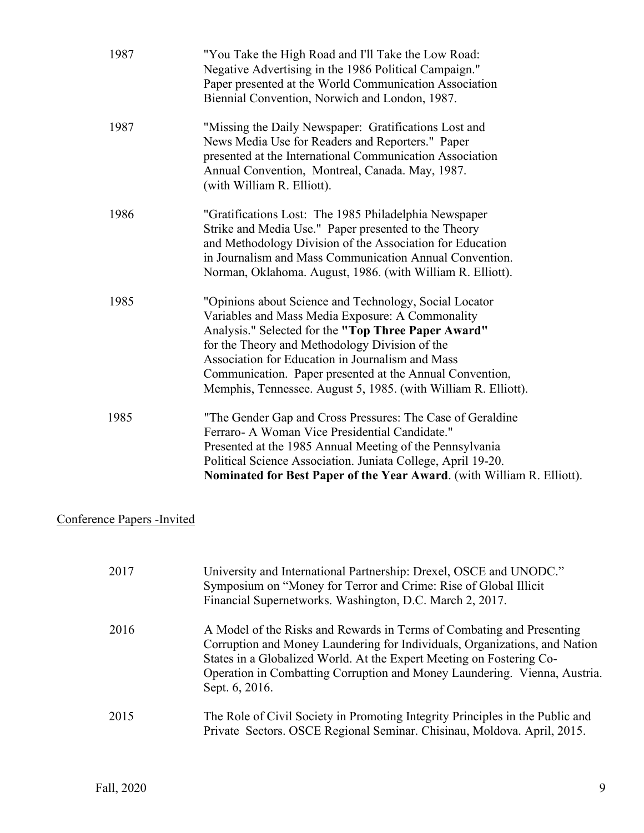| 1987 | "You Take the High Road and I'll Take the Low Road:<br>Negative Advertising in the 1986 Political Campaign."<br>Paper presented at the World Communication Association<br>Biennial Convention, Norwich and London, 1987.                                                                                                                                                                              |
|------|-------------------------------------------------------------------------------------------------------------------------------------------------------------------------------------------------------------------------------------------------------------------------------------------------------------------------------------------------------------------------------------------------------|
| 1987 | "Missing the Daily Newspaper: Gratifications Lost and<br>News Media Use for Readers and Reporters." Paper<br>presented at the International Communication Association<br>Annual Convention, Montreal, Canada. May, 1987.<br>(with William R. Elliott).                                                                                                                                                |
| 1986 | "Gratifications Lost: The 1985 Philadelphia Newspaper<br>Strike and Media Use." Paper presented to the Theory<br>and Methodology Division of the Association for Education<br>in Journalism and Mass Communication Annual Convention.<br>Norman, Oklahoma. August, 1986. (with William R. Elliott).                                                                                                   |
| 1985 | "Opinions about Science and Technology, Social Locator<br>Variables and Mass Media Exposure: A Commonality<br>Analysis." Selected for the "Top Three Paper Award"<br>for the Theory and Methodology Division of the<br>Association for Education in Journalism and Mass<br>Communication. Paper presented at the Annual Convention,<br>Memphis, Tennessee. August 5, 1985. (with William R. Elliott). |
| 1985 | "The Gender Gap and Cross Pressures: The Case of Geraldine<br>Ferraro- A Woman Vice Presidential Candidate."<br>Presented at the 1985 Annual Meeting of the Pennsylvania<br>Political Science Association. Juniata College, April 19-20.<br>Nominated for Best Paper of the Year Award. (with William R. Elliott).                                                                                    |

## Conference Papers -Invited

| 2017 | University and International Partnership: Drexel, OSCE and UNODC."<br>Symposium on "Money for Terror and Crime: Rise of Global Illicit<br>Financial Supernetworks. Washington, D.C. March 2, 2017.                                                                                                                         |
|------|----------------------------------------------------------------------------------------------------------------------------------------------------------------------------------------------------------------------------------------------------------------------------------------------------------------------------|
| 2016 | A Model of the Risks and Rewards in Terms of Combating and Presenting<br>Corruption and Money Laundering for Individuals, Organizations, and Nation<br>States in a Globalized World. At the Expert Meeting on Fostering Co-<br>Operation in Combatting Corruption and Money Laundering. Vienna, Austria.<br>Sept. 6, 2016. |
| 2015 | The Role of Civil Society in Promoting Integrity Principles in the Public and<br>Private Sectors. OSCE Regional Seminar. Chisinau, Moldova. April, 2015.                                                                                                                                                                   |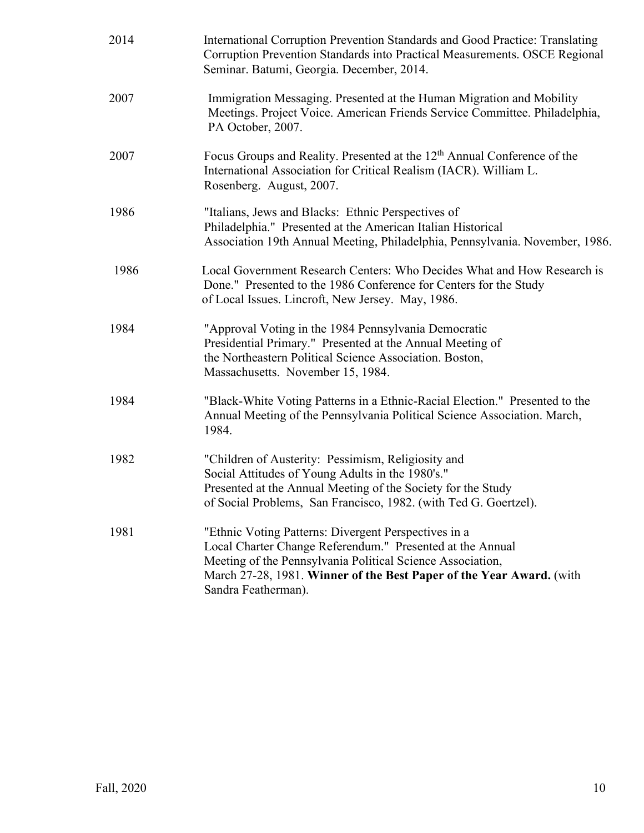| 2014 | International Corruption Prevention Standards and Good Practice: Translating<br>Corruption Prevention Standards into Practical Measurements. OSCE Regional<br>Seminar. Batumi, Georgia. December, 2014.                                                                        |
|------|--------------------------------------------------------------------------------------------------------------------------------------------------------------------------------------------------------------------------------------------------------------------------------|
| 2007 | Immigration Messaging. Presented at the Human Migration and Mobility<br>Meetings. Project Voice. American Friends Service Committee. Philadelphia,<br>PA October, 2007.                                                                                                        |
| 2007 | Focus Groups and Reality. Presented at the 12 <sup>th</sup> Annual Conference of the<br>International Association for Critical Realism (IACR). William L.<br>Rosenberg. August, 2007.                                                                                          |
| 1986 | "Italians, Jews and Blacks: Ethnic Perspectives of<br>Philadelphia." Presented at the American Italian Historical<br>Association 19th Annual Meeting, Philadelphia, Pennsylvania. November, 1986.                                                                              |
| 1986 | Local Government Research Centers: Who Decides What and How Research is<br>Done." Presented to the 1986 Conference for Centers for the Study<br>of Local Issues. Lincroft, New Jersey. May, 1986.                                                                              |
| 1984 | "Approval Voting in the 1984 Pennsylvania Democratic<br>Presidential Primary." Presented at the Annual Meeting of<br>the Northeastern Political Science Association. Boston,<br>Massachusetts. November 15, 1984.                                                              |
| 1984 | "Black-White Voting Patterns in a Ethnic-Racial Election." Presented to the<br>Annual Meeting of the Pennsylvania Political Science Association. March,<br>1984.                                                                                                               |
| 1982 | "Children of Austerity: Pessimism, Religiosity and<br>Social Attitudes of Young Adults in the 1980's."<br>Presented at the Annual Meeting of the Society for the Study<br>of Social Problems, San Francisco, 1982. (with Ted G. Goertzel).                                     |
| 1981 | "Ethnic Voting Patterns: Divergent Perspectives in a<br>Local Charter Change Referendum." Presented at the Annual<br>Meeting of the Pennsylvania Political Science Association,<br>March 27-28, 1981. Winner of the Best Paper of the Year Award. (with<br>Sandra Featherman). |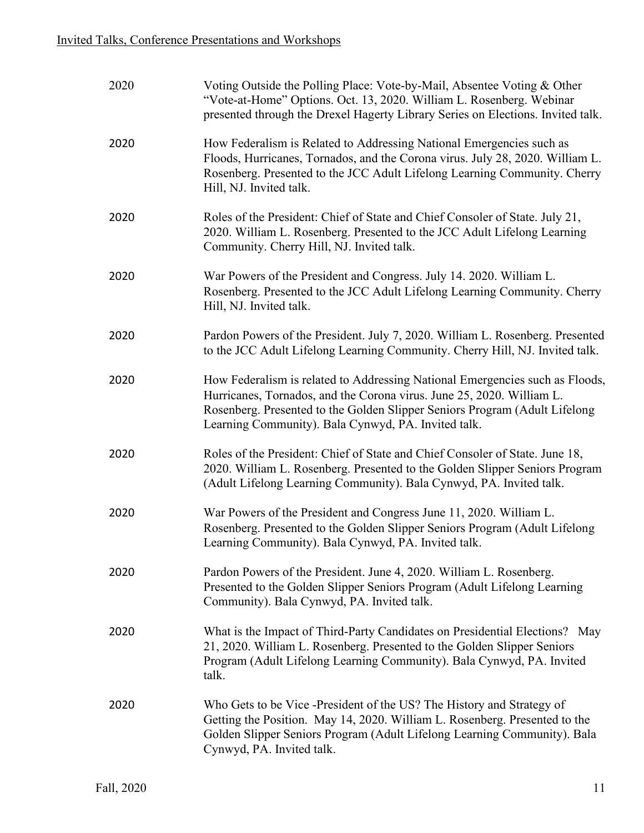| 2020 | Voting Outside the Polling Place: Vote-by-Mail, Absentee Voting & Other<br>"Vote-at-Home" Options. Oct. 13, 2020. William L. Rosenberg. Webinar<br>presented through the Drexel Hagerty Library Series on Elections. Invited talk.                                                         |
|------|--------------------------------------------------------------------------------------------------------------------------------------------------------------------------------------------------------------------------------------------------------------------------------------------|
| 2020 | How Federalism is Related to Addressing National Emergencies such as<br>Floods, Hurricanes, Tornados, and the Corona virus. July 28, 2020. William L.<br>Rosenberg. Presented to the JCC Adult Lifelong Learning Community. Cherry<br>Hill, NJ. Invited talk.                              |
| 2020 | Roles of the President: Chief of State and Chief Consoler of State. July 21,<br>2020. William L. Rosenberg. Presented to the JCC Adult Lifelong Learning<br>Community. Cherry Hill, NJ. Invited talk.                                                                                      |
| 2020 | War Powers of the President and Congress. July 14. 2020. William L.<br>Rosenberg. Presented to the JCC Adult Lifelong Learning Community. Cherry<br>Hill, NJ. Invited talk.                                                                                                                |
| 2020 | Pardon Powers of the President. July 7, 2020. William L. Rosenberg. Presented<br>to the JCC Adult Lifelong Learning Community. Cherry Hill, NJ. Invited talk.                                                                                                                              |
| 2020 | How Federalism is related to Addressing National Emergencies such as Floods,<br>Hurricanes, Tornados, and the Corona virus. June 25, 2020. William L.<br>Rosenberg. Presented to the Golden Slipper Seniors Program (Adult Lifelong<br>Learning Community). Bala Cynwyd, PA. Invited talk. |
| 2020 | Roles of the President: Chief of State and Chief Consoler of State. June 18,<br>2020. William L. Rosenberg. Presented to the Golden Slipper Seniors Program<br>(Adult Lifelong Learning Community). Bala Cynwyd, PA. Invited talk.                                                         |
| 2020 | War Powers of the President and Congress June 11, 2020. William L.<br>Rosenberg. Presented to the Golden Slipper Seniors Program (Adult Lifelong<br>Learning Community). Bala Cynwyd, PA. Invited talk.                                                                                    |
| 2020 | Pardon Powers of the President. June 4, 2020. William L. Rosenberg.<br>Presented to the Golden Slipper Seniors Program (Adult Lifelong Learning<br>Community). Bala Cynwyd, PA. Invited talk.                                                                                              |
| 2020 | What is the Impact of Third-Party Candidates on Presidential Elections? May<br>21, 2020. William L. Rosenberg. Presented to the Golden Slipper Seniors<br>Program (Adult Lifelong Learning Community). Bala Cynwyd, PA. Invited<br>talk.                                                   |
| 2020 | Who Gets to be Vice -President of the US? The History and Strategy of<br>Getting the Position. May 14, 2020. William L. Rosenberg. Presented to the<br>Golden Slipper Seniors Program (Adult Lifelong Learning Community). Bala<br>Cynwyd, PA. Invited talk.                               |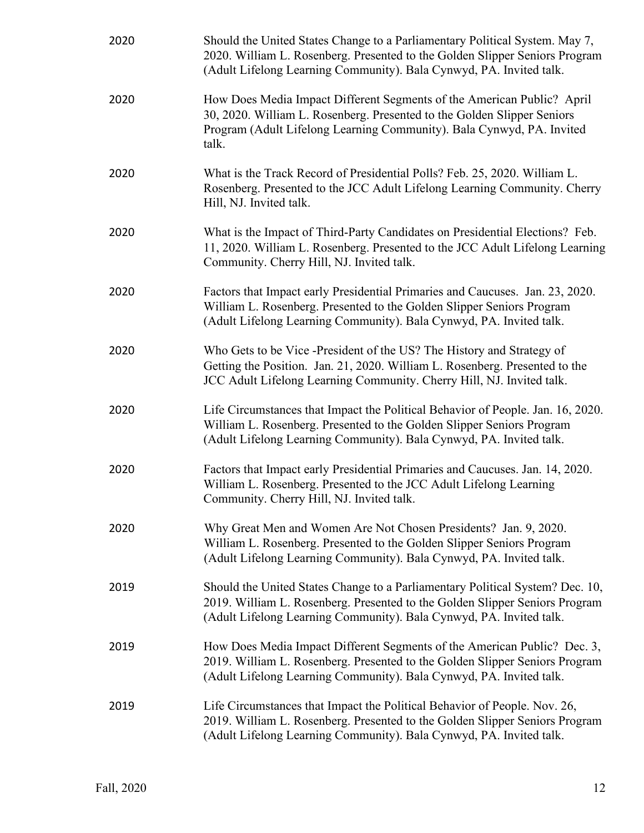| 2020 | Should the United States Change to a Parliamentary Political System. May 7,<br>2020. William L. Rosenberg. Presented to the Golden Slipper Seniors Program<br>(Adult Lifelong Learning Community). Bala Cynwyd, PA. Invited talk.   |
|------|-------------------------------------------------------------------------------------------------------------------------------------------------------------------------------------------------------------------------------------|
| 2020 | How Does Media Impact Different Segments of the American Public? April<br>30, 2020. William L. Rosenberg. Presented to the Golden Slipper Seniors<br>Program (Adult Lifelong Learning Community). Bala Cynwyd, PA. Invited<br>talk. |
| 2020 | What is the Track Record of Presidential Polls? Feb. 25, 2020. William L.<br>Rosenberg. Presented to the JCC Adult Lifelong Learning Community. Cherry<br>Hill, NJ. Invited talk.                                                   |
| 2020 | What is the Impact of Third-Party Candidates on Presidential Elections? Feb.<br>11, 2020. William L. Rosenberg. Presented to the JCC Adult Lifelong Learning<br>Community. Cherry Hill, NJ. Invited talk.                           |
| 2020 | Factors that Impact early Presidential Primaries and Caucuses. Jan. 23, 2020.<br>William L. Rosenberg. Presented to the Golden Slipper Seniors Program<br>(Adult Lifelong Learning Community). Bala Cynwyd, PA. Invited talk.       |
| 2020 | Who Gets to be Vice -President of the US? The History and Strategy of<br>Getting the Position. Jan. 21, 2020. William L. Rosenberg. Presented to the<br>JCC Adult Lifelong Learning Community. Cherry Hill, NJ. Invited talk.       |
| 2020 | Life Circumstances that Impact the Political Behavior of People. Jan. 16, 2020.<br>William L. Rosenberg. Presented to the Golden Slipper Seniors Program<br>(Adult Lifelong Learning Community). Bala Cynwyd, PA. Invited talk.     |
| 2020 | Factors that Impact early Presidential Primaries and Caucuses. Jan. 14, 2020.<br>William L. Rosenberg. Presented to the JCC Adult Lifelong Learning<br>Community. Cherry Hill, NJ. Invited talk.                                    |
| 2020 | Why Great Men and Women Are Not Chosen Presidents? Jan. 9, 2020.<br>William L. Rosenberg. Presented to the Golden Slipper Seniors Program<br>(Adult Lifelong Learning Community). Bala Cynwyd, PA. Invited talk.                    |
| 2019 | Should the United States Change to a Parliamentary Political System? Dec. 10,<br>2019. William L. Rosenberg. Presented to the Golden Slipper Seniors Program<br>(Adult Lifelong Learning Community). Bala Cynwyd, PA. Invited talk. |
| 2019 | How Does Media Impact Different Segments of the American Public? Dec. 3,<br>2019. William L. Rosenberg. Presented to the Golden Slipper Seniors Program<br>(Adult Lifelong Learning Community). Bala Cynwyd, PA. Invited talk.      |
| 2019 | Life Circumstances that Impact the Political Behavior of People. Nov. 26,<br>2019. William L. Rosenberg. Presented to the Golden Slipper Seniors Program<br>(Adult Lifelong Learning Community). Bala Cynwyd, PA. Invited talk.     |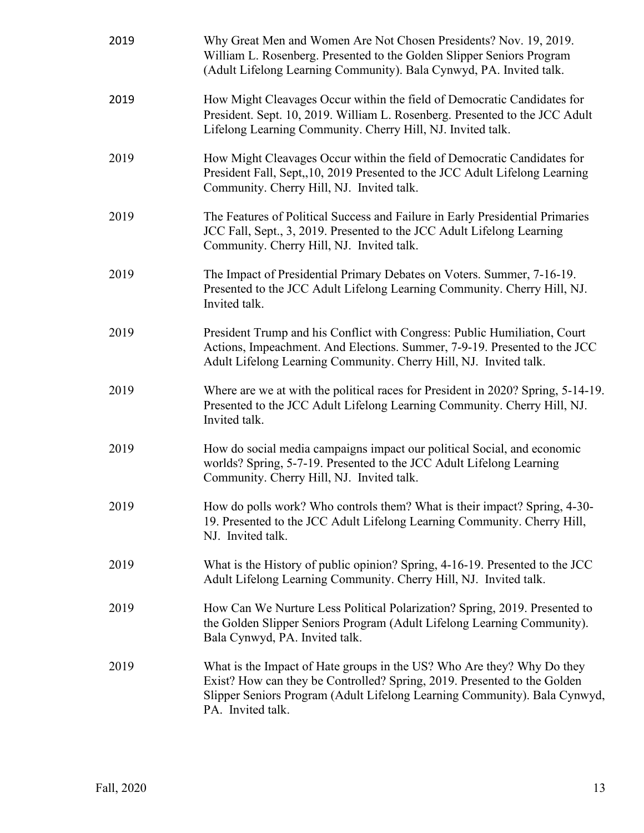| 2019 | Why Great Men and Women Are Not Chosen Presidents? Nov. 19, 2019.<br>William L. Rosenberg. Presented to the Golden Slipper Seniors Program<br>(Adult Lifelong Learning Community). Bala Cynwyd, PA. Invited talk.                                    |
|------|------------------------------------------------------------------------------------------------------------------------------------------------------------------------------------------------------------------------------------------------------|
| 2019 | How Might Cleavages Occur within the field of Democratic Candidates for<br>President. Sept. 10, 2019. William L. Rosenberg. Presented to the JCC Adult<br>Lifelong Learning Community. Cherry Hill, NJ. Invited talk.                                |
| 2019 | How Might Cleavages Occur within the field of Democratic Candidates for<br>President Fall, Sept, 10, 2019 Presented to the JCC Adult Lifelong Learning<br>Community. Cherry Hill, NJ. Invited talk.                                                  |
| 2019 | The Features of Political Success and Failure in Early Presidential Primaries<br>JCC Fall, Sept., 3, 2019. Presented to the JCC Adult Lifelong Learning<br>Community. Cherry Hill, NJ. Invited talk.                                                 |
| 2019 | The Impact of Presidential Primary Debates on Voters. Summer, 7-16-19.<br>Presented to the JCC Adult Lifelong Learning Community. Cherry Hill, NJ.<br>Invited talk.                                                                                  |
| 2019 | President Trump and his Conflict with Congress: Public Humiliation, Court<br>Actions, Impeachment. And Elections. Summer, 7-9-19. Presented to the JCC<br>Adult Lifelong Learning Community. Cherry Hill, NJ. Invited talk.                          |
| 2019 | Where are we at with the political races for President in 2020? Spring, 5-14-19.<br>Presented to the JCC Adult Lifelong Learning Community. Cherry Hill, NJ.<br>Invited talk.                                                                        |
| 2019 | How do social media campaigns impact our political Social, and economic<br>worlds? Spring, 5-7-19. Presented to the JCC Adult Lifelong Learning<br>Community. Cherry Hill, NJ. Invited talk.                                                         |
| 2019 | How do polls work? Who controls them? What is their impact? Spring, 4-30-<br>19. Presented to the JCC Adult Lifelong Learning Community. Cherry Hill,<br>NJ. Invited talk.                                                                           |
| 2019 | What is the History of public opinion? Spring, 4-16-19. Presented to the JCC<br>Adult Lifelong Learning Community. Cherry Hill, NJ. Invited talk.                                                                                                    |
| 2019 | How Can We Nurture Less Political Polarization? Spring, 2019. Presented to<br>the Golden Slipper Seniors Program (Adult Lifelong Learning Community).<br>Bala Cynwyd, PA. Invited talk.                                                              |
| 2019 | What is the Impact of Hate groups in the US? Who Are they? Why Do they<br>Exist? How can they be Controlled? Spring, 2019. Presented to the Golden<br>Slipper Seniors Program (Adult Lifelong Learning Community). Bala Cynwyd,<br>PA. Invited talk. |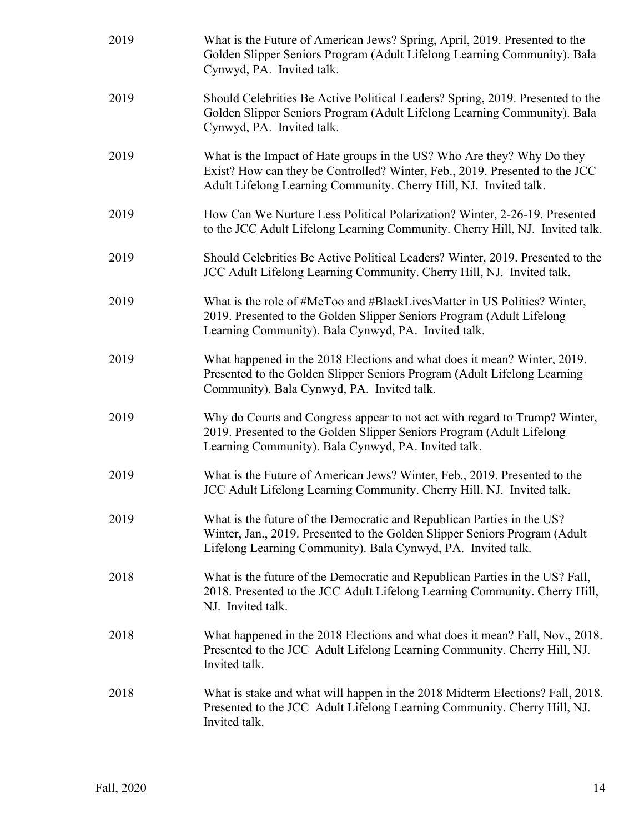| 2019 | What is the Future of American Jews? Spring, April, 2019. Presented to the<br>Golden Slipper Seniors Program (Adult Lifelong Learning Community). Bala<br>Cynwyd, PA. Invited talk.                                        |
|------|----------------------------------------------------------------------------------------------------------------------------------------------------------------------------------------------------------------------------|
| 2019 | Should Celebrities Be Active Political Leaders? Spring, 2019. Presented to the<br>Golden Slipper Seniors Program (Adult Lifelong Learning Community). Bala<br>Cynwyd, PA. Invited talk.                                    |
| 2019 | What is the Impact of Hate groups in the US? Who Are they? Why Do they<br>Exist? How can they be Controlled? Winter, Feb., 2019. Presented to the JCC<br>Adult Lifelong Learning Community. Cherry Hill, NJ. Invited talk. |
| 2019 | How Can We Nurture Less Political Polarization? Winter, 2-26-19. Presented<br>to the JCC Adult Lifelong Learning Community. Cherry Hill, NJ. Invited talk.                                                                 |
| 2019 | Should Celebrities Be Active Political Leaders? Winter, 2019. Presented to the<br>JCC Adult Lifelong Learning Community. Cherry Hill, NJ. Invited talk.                                                                    |
| 2019 | What is the role of #MeToo and #BlackLivesMatter in US Politics? Winter,<br>2019. Presented to the Golden Slipper Seniors Program (Adult Lifelong<br>Learning Community). Bala Cynwyd, PA. Invited talk.                   |
| 2019 | What happened in the 2018 Elections and what does it mean? Winter, 2019.<br>Presented to the Golden Slipper Seniors Program (Adult Lifelong Learning<br>Community). Bala Cynwyd, PA. Invited talk.                         |
| 2019 | Why do Courts and Congress appear to not act with regard to Trump? Winter,<br>2019. Presented to the Golden Slipper Seniors Program (Adult Lifelong<br>Learning Community). Bala Cynwyd, PA. Invited talk.                 |
| 2019 | What is the Future of American Jews? Winter, Feb., 2019. Presented to the<br>JCC Adult Lifelong Learning Community. Cherry Hill, NJ. Invited talk.                                                                         |
| 2019 | What is the future of the Democratic and Republican Parties in the US?<br>Winter, Jan., 2019. Presented to the Golden Slipper Seniors Program (Adult<br>Lifelong Learning Community). Bala Cynwyd, PA. Invited talk.       |
| 2018 | What is the future of the Democratic and Republican Parties in the US? Fall,<br>2018. Presented to the JCC Adult Lifelong Learning Community. Cherry Hill,<br>NJ. Invited talk.                                            |
| 2018 | What happened in the 2018 Elections and what does it mean? Fall, Nov., 2018.<br>Presented to the JCC Adult Lifelong Learning Community. Cherry Hill, NJ.<br>Invited talk.                                                  |
| 2018 | What is stake and what will happen in the 2018 Midterm Elections? Fall, 2018.<br>Presented to the JCC Adult Lifelong Learning Community. Cherry Hill, NJ.<br>Invited talk.                                                 |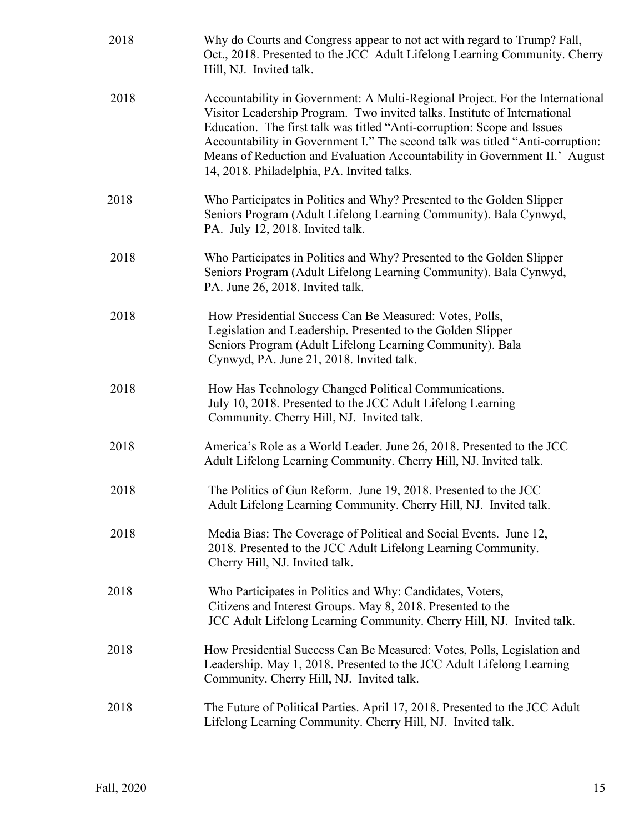| 2018 | Why do Courts and Congress appear to not act with regard to Trump? Fall,<br>Oct., 2018. Presented to the JCC Adult Lifelong Learning Community. Cherry<br>Hill, NJ. Invited talk.                                                                                                                                                                                                                                                                  |
|------|----------------------------------------------------------------------------------------------------------------------------------------------------------------------------------------------------------------------------------------------------------------------------------------------------------------------------------------------------------------------------------------------------------------------------------------------------|
| 2018 | Accountability in Government: A Multi-Regional Project. For the International<br>Visitor Leadership Program. Two invited talks. Institute of International<br>Education. The first talk was titled "Anti-corruption: Scope and Issues<br>Accountability in Government I." The second talk was titled "Anti-corruption:<br>Means of Reduction and Evaluation Accountability in Government II.' August<br>14, 2018. Philadelphia, PA. Invited talks. |
| 2018 | Who Participates in Politics and Why? Presented to the Golden Slipper<br>Seniors Program (Adult Lifelong Learning Community). Bala Cynwyd,<br>PA. July 12, 2018. Invited talk.                                                                                                                                                                                                                                                                     |
| 2018 | Who Participates in Politics and Why? Presented to the Golden Slipper<br>Seniors Program (Adult Lifelong Learning Community). Bala Cynwyd,<br>PA. June 26, 2018. Invited talk.                                                                                                                                                                                                                                                                     |
| 2018 | How Presidential Success Can Be Measured: Votes, Polls,<br>Legislation and Leadership. Presented to the Golden Slipper<br>Seniors Program (Adult Lifelong Learning Community). Bala<br>Cynwyd, PA. June 21, 2018. Invited talk.                                                                                                                                                                                                                    |
| 2018 | How Has Technology Changed Political Communications.<br>July 10, 2018. Presented to the JCC Adult Lifelong Learning<br>Community. Cherry Hill, NJ. Invited talk.                                                                                                                                                                                                                                                                                   |
| 2018 | America's Role as a World Leader. June 26, 2018. Presented to the JCC<br>Adult Lifelong Learning Community. Cherry Hill, NJ. Invited talk.                                                                                                                                                                                                                                                                                                         |
| 2018 | The Politics of Gun Reform. June 19, 2018. Presented to the JCC<br>Adult Lifelong Learning Community. Cherry Hill, NJ. Invited talk.                                                                                                                                                                                                                                                                                                               |
| 2018 | Media Bias: The Coverage of Political and Social Events. June 12,<br>2018. Presented to the JCC Adult Lifelong Learning Community.<br>Cherry Hill, NJ. Invited talk.                                                                                                                                                                                                                                                                               |
| 2018 | Who Participates in Politics and Why: Candidates, Voters,<br>Citizens and Interest Groups. May 8, 2018. Presented to the<br>JCC Adult Lifelong Learning Community. Cherry Hill, NJ. Invited talk.                                                                                                                                                                                                                                                  |
| 2018 | How Presidential Success Can Be Measured: Votes, Polls, Legislation and<br>Leadership. May 1, 2018. Presented to the JCC Adult Lifelong Learning<br>Community. Cherry Hill, NJ. Invited talk.                                                                                                                                                                                                                                                      |
| 2018 | The Future of Political Parties. April 17, 2018. Presented to the JCC Adult<br>Lifelong Learning Community. Cherry Hill, NJ. Invited talk.                                                                                                                                                                                                                                                                                                         |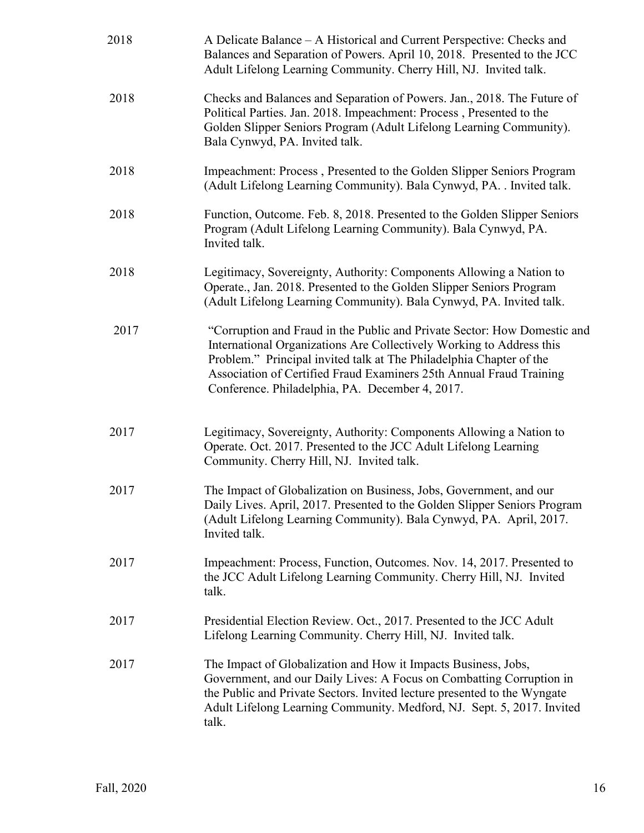| 2018 | A Delicate Balance – A Historical and Current Perspective: Checks and<br>Balances and Separation of Powers. April 10, 2018. Presented to the JCC<br>Adult Lifelong Learning Community. Cherry Hill, NJ. Invited talk.                                                                                                                             |
|------|---------------------------------------------------------------------------------------------------------------------------------------------------------------------------------------------------------------------------------------------------------------------------------------------------------------------------------------------------|
| 2018 | Checks and Balances and Separation of Powers. Jan., 2018. The Future of<br>Political Parties. Jan. 2018. Impeachment: Process, Presented to the<br>Golden Slipper Seniors Program (Adult Lifelong Learning Community).<br>Bala Cynwyd, PA. Invited talk.                                                                                          |
| 2018 | Impeachment: Process, Presented to the Golden Slipper Seniors Program<br>(Adult Lifelong Learning Community). Bala Cynwyd, PA. . Invited talk.                                                                                                                                                                                                    |
| 2018 | Function, Outcome. Feb. 8, 2018. Presented to the Golden Slipper Seniors<br>Program (Adult Lifelong Learning Community). Bala Cynwyd, PA.<br>Invited talk.                                                                                                                                                                                        |
| 2018 | Legitimacy, Sovereignty, Authority: Components Allowing a Nation to<br>Operate., Jan. 2018. Presented to the Golden Slipper Seniors Program<br>(Adult Lifelong Learning Community). Bala Cynwyd, PA. Invited talk.                                                                                                                                |
| 2017 | "Corruption and Fraud in the Public and Private Sector: How Domestic and<br>International Organizations Are Collectively Working to Address this<br>Problem." Principal invited talk at The Philadelphia Chapter of the<br>Association of Certified Fraud Examiners 25th Annual Fraud Training<br>Conference. Philadelphia, PA. December 4, 2017. |
| 2017 | Legitimacy, Sovereignty, Authority: Components Allowing a Nation to<br>Operate. Oct. 2017. Presented to the JCC Adult Lifelong Learning<br>Community. Cherry Hill, NJ. Invited talk.                                                                                                                                                              |
| 2017 | The Impact of Globalization on Business, Jobs, Government, and our<br>Daily Lives. April, 2017. Presented to the Golden Slipper Seniors Program<br>(Adult Lifelong Learning Community). Bala Cynwyd, PA. April, 2017.<br>Invited talk.                                                                                                            |
| 2017 | Impeachment: Process, Function, Outcomes. Nov. 14, 2017. Presented to<br>the JCC Adult Lifelong Learning Community. Cherry Hill, NJ. Invited<br>talk.                                                                                                                                                                                             |
| 2017 | Presidential Election Review. Oct., 2017. Presented to the JCC Adult<br>Lifelong Learning Community. Cherry Hill, NJ. Invited talk.                                                                                                                                                                                                               |
| 2017 | The Impact of Globalization and How it Impacts Business, Jobs,<br>Government, and our Daily Lives: A Focus on Combatting Corruption in<br>the Public and Private Sectors. Invited lecture presented to the Wyngate<br>Adult Lifelong Learning Community. Medford, NJ. Sept. 5, 2017. Invited<br>talk.                                             |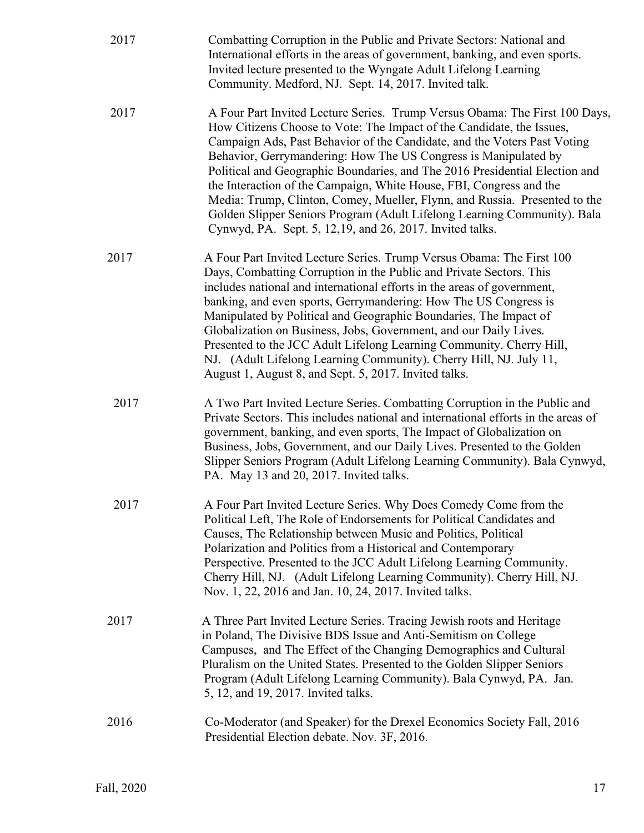| 2017 | Combatting Corruption in the Public and Private Sectors: National and<br>International efforts in the areas of government, banking, and even sports.<br>Invited lecture presented to the Wyngate Adult Lifelong Learning<br>Community. Medford, NJ. Sept. 14, 2017. Invited talk.                                                                                                                                                                                                                                                                                                                                                                                               |
|------|---------------------------------------------------------------------------------------------------------------------------------------------------------------------------------------------------------------------------------------------------------------------------------------------------------------------------------------------------------------------------------------------------------------------------------------------------------------------------------------------------------------------------------------------------------------------------------------------------------------------------------------------------------------------------------|
| 2017 | A Four Part Invited Lecture Series. Trump Versus Obama: The First 100 Days,<br>How Citizens Choose to Vote: The Impact of the Candidate, the Issues,<br>Campaign Ads, Past Behavior of the Candidate, and the Voters Past Voting<br>Behavior, Gerrymandering: How The US Congress is Manipulated by<br>Political and Geographic Boundaries, and The 2016 Presidential Election and<br>the Interaction of the Campaign, White House, FBI, Congress and the<br>Media: Trump, Clinton, Comey, Mueller, Flynn, and Russia. Presented to the<br>Golden Slipper Seniors Program (Adult Lifelong Learning Community). Bala<br>Cynwyd, PA. Sept. 5, 12,19, and 26, 2017. Invited talks. |
| 2017 | A Four Part Invited Lecture Series. Trump Versus Obama: The First 100<br>Days, Combatting Corruption in the Public and Private Sectors. This<br>includes national and international efforts in the areas of government,<br>banking, and even sports, Gerrymandering: How The US Congress is<br>Manipulated by Political and Geographic Boundaries, The Impact of<br>Globalization on Business, Jobs, Government, and our Daily Lives.<br>Presented to the JCC Adult Lifelong Learning Community. Cherry Hill,<br>NJ. (Adult Lifelong Learning Community). Cherry Hill, NJ. July 11,<br>August 1, August 8, and Sept. 5, 2017. Invited talks.                                    |
| 2017 | A Two Part Invited Lecture Series. Combatting Corruption in the Public and<br>Private Sectors. This includes national and international efforts in the areas of<br>government, banking, and even sports, The Impact of Globalization on<br>Business, Jobs, Government, and our Daily Lives. Presented to the Golden<br>Slipper Seniors Program (Adult Lifelong Learning Community). Bala Cynwyd,<br>PA. May 13 and 20, 2017. Invited talks.                                                                                                                                                                                                                                     |
| 2017 | A Four Part Invited Lecture Series. Why Does Comedy Come from the<br>Political Left, The Role of Endorsements for Political Candidates and<br>Causes, The Relationship between Music and Politics, Political<br>Polarization and Politics from a Historical and Contemporary<br>Perspective. Presented to the JCC Adult Lifelong Learning Community.<br>Cherry Hill, NJ. (Adult Lifelong Learning Community). Cherry Hill, NJ.<br>Nov. 1, 22, 2016 and Jan. 10, 24, 2017. Invited talks.                                                                                                                                                                                        |
| 2017 | A Three Part Invited Lecture Series. Tracing Jewish roots and Heritage<br>in Poland, The Divisive BDS Issue and Anti-Semitism on College<br>Campuses, and The Effect of the Changing Demographics and Cultural<br>Pluralism on the United States. Presented to the Golden Slipper Seniors<br>Program (Adult Lifelong Learning Community). Bala Cynwyd, PA. Jan.<br>5, 12, and 19, 2017. Invited talks.                                                                                                                                                                                                                                                                          |
| 2016 | Co-Moderator (and Speaker) for the Drexel Economics Society Fall, 2016<br>Presidential Election debate. Nov. 3F, 2016.                                                                                                                                                                                                                                                                                                                                                                                                                                                                                                                                                          |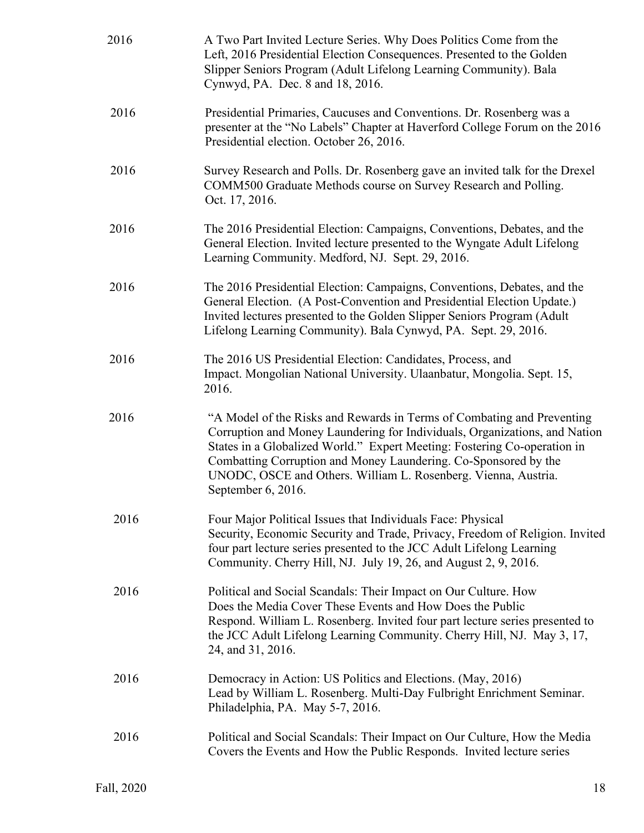| 2016 | A Two Part Invited Lecture Series. Why Does Politics Come from the<br>Left, 2016 Presidential Election Consequences. Presented to the Golden<br>Slipper Seniors Program (Adult Lifelong Learning Community). Bala<br>Cynwyd, PA. Dec. 8 and 18, 2016.                                                                                                                                       |
|------|---------------------------------------------------------------------------------------------------------------------------------------------------------------------------------------------------------------------------------------------------------------------------------------------------------------------------------------------------------------------------------------------|
| 2016 | Presidential Primaries, Caucuses and Conventions. Dr. Rosenberg was a<br>presenter at the "No Labels" Chapter at Haverford College Forum on the 2016<br>Presidential election. October 26, 2016.                                                                                                                                                                                            |
| 2016 | Survey Research and Polls. Dr. Rosenberg gave an invited talk for the Drexel<br>COMM500 Graduate Methods course on Survey Research and Polling.<br>Oct. 17, 2016.                                                                                                                                                                                                                           |
| 2016 | The 2016 Presidential Election: Campaigns, Conventions, Debates, and the<br>General Election. Invited lecture presented to the Wyngate Adult Lifelong<br>Learning Community. Medford, NJ. Sept. 29, 2016.                                                                                                                                                                                   |
| 2016 | The 2016 Presidential Election: Campaigns, Conventions, Debates, and the<br>General Election. (A Post-Convention and Presidential Election Update.)<br>Invited lectures presented to the Golden Slipper Seniors Program (Adult<br>Lifelong Learning Community). Bala Cynwyd, PA. Sept. 29, 2016.                                                                                            |
| 2016 | The 2016 US Presidential Election: Candidates, Process, and<br>Impact. Mongolian National University. Ulaanbatur, Mongolia. Sept. 15,<br>2016.                                                                                                                                                                                                                                              |
| 2016 | "A Model of the Risks and Rewards in Terms of Combating and Preventing<br>Corruption and Money Laundering for Individuals, Organizations, and Nation<br>States in a Globalized World." Expert Meeting: Fostering Co-operation in<br>Combatting Corruption and Money Laundering. Co-Sponsored by the<br>UNODC, OSCE and Others. William L. Rosenberg. Vienna, Austria.<br>September 6, 2016. |
| 2016 | Four Major Political Issues that Individuals Face: Physical<br>Security, Economic Security and Trade, Privacy, Freedom of Religion. Invited<br>four part lecture series presented to the JCC Adult Lifelong Learning<br>Community. Cherry Hill, NJ. July 19, 26, and August 2, 9, 2016.                                                                                                     |
| 2016 | Political and Social Scandals: Their Impact on Our Culture. How<br>Does the Media Cover These Events and How Does the Public<br>Respond. William L. Rosenberg. Invited four part lecture series presented to<br>the JCC Adult Lifelong Learning Community. Cherry Hill, NJ. May 3, 17,<br>24, and 31, 2016.                                                                                 |
| 2016 | Democracy in Action: US Politics and Elections. (May, 2016)<br>Lead by William L. Rosenberg. Multi-Day Fulbright Enrichment Seminar.<br>Philadelphia, PA. May 5-7, 2016.                                                                                                                                                                                                                    |
| 2016 | Political and Social Scandals: Their Impact on Our Culture, How the Media<br>Covers the Events and How the Public Responds. Invited lecture series                                                                                                                                                                                                                                          |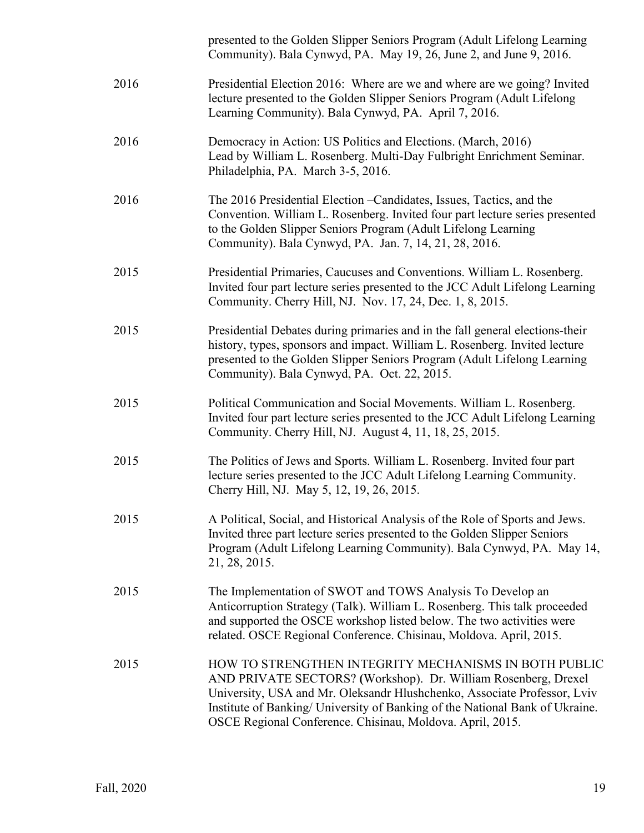|      | presented to the Golden Slipper Seniors Program (Adult Lifelong Learning<br>Community). Bala Cynwyd, PA. May 19, 26, June 2, and June 9, 2016.                                                                                                                                                                                                   |
|------|--------------------------------------------------------------------------------------------------------------------------------------------------------------------------------------------------------------------------------------------------------------------------------------------------------------------------------------------------|
| 2016 | Presidential Election 2016: Where are we and where are we going? Invited<br>lecture presented to the Golden Slipper Seniors Program (Adult Lifelong<br>Learning Community). Bala Cynwyd, PA. April 7, 2016.                                                                                                                                      |
| 2016 | Democracy in Action: US Politics and Elections. (March, 2016)<br>Lead by William L. Rosenberg. Multi-Day Fulbright Enrichment Seminar.<br>Philadelphia, PA. March 3-5, 2016.                                                                                                                                                                     |
| 2016 | The 2016 Presidential Election – Candidates, Issues, Tactics, and the<br>Convention. William L. Rosenberg. Invited four part lecture series presented<br>to the Golden Slipper Seniors Program (Adult Lifelong Learning<br>Community). Bala Cynwyd, PA. Jan. 7, 14, 21, 28, 2016.                                                                |
| 2015 | Presidential Primaries, Caucuses and Conventions. William L. Rosenberg.<br>Invited four part lecture series presented to the JCC Adult Lifelong Learning<br>Community. Cherry Hill, NJ. Nov. 17, 24, Dec. 1, 8, 2015.                                                                                                                            |
| 2015 | Presidential Debates during primaries and in the fall general elections-their<br>history, types, sponsors and impact. William L. Rosenberg. Invited lecture<br>presented to the Golden Slipper Seniors Program (Adult Lifelong Learning<br>Community). Bala Cynwyd, PA. Oct. 22, 2015.                                                           |
| 2015 | Political Communication and Social Movements. William L. Rosenberg.<br>Invited four part lecture series presented to the JCC Adult Lifelong Learning<br>Community. Cherry Hill, NJ. August 4, 11, 18, 25, 2015.                                                                                                                                  |
| 2015 | The Politics of Jews and Sports. William L. Rosenberg. Invited four part<br>lecture series presented to the JCC Adult Lifelong Learning Community.<br>Cherry Hill, NJ. May 5, 12, 19, 26, 2015.                                                                                                                                                  |
| 2015 | A Political, Social, and Historical Analysis of the Role of Sports and Jews.<br>Invited three part lecture series presented to the Golden Slipper Seniors<br>Program (Adult Lifelong Learning Community). Bala Cynwyd, PA. May 14,<br>21, 28, 2015.                                                                                              |
| 2015 | The Implementation of SWOT and TOWS Analysis To Develop an<br>Anticorruption Strategy (Talk). William L. Rosenberg. This talk proceeded<br>and supported the OSCE workshop listed below. The two activities were<br>related. OSCE Regional Conference. Chisinau, Moldova. April, 2015.                                                           |
| 2015 | HOW TO STRENGTHEN INTEGRITY MECHANISMS IN BOTH PUBLIC<br>AND PRIVATE SECTORS? (Workshop). Dr. William Rosenberg, Drexel<br>University, USA and Mr. Oleksandr Hlushchenko, Associate Professor, Lviv<br>Institute of Banking/ University of Banking of the National Bank of Ukraine.<br>OSCE Regional Conference. Chisinau, Moldova. April, 2015. |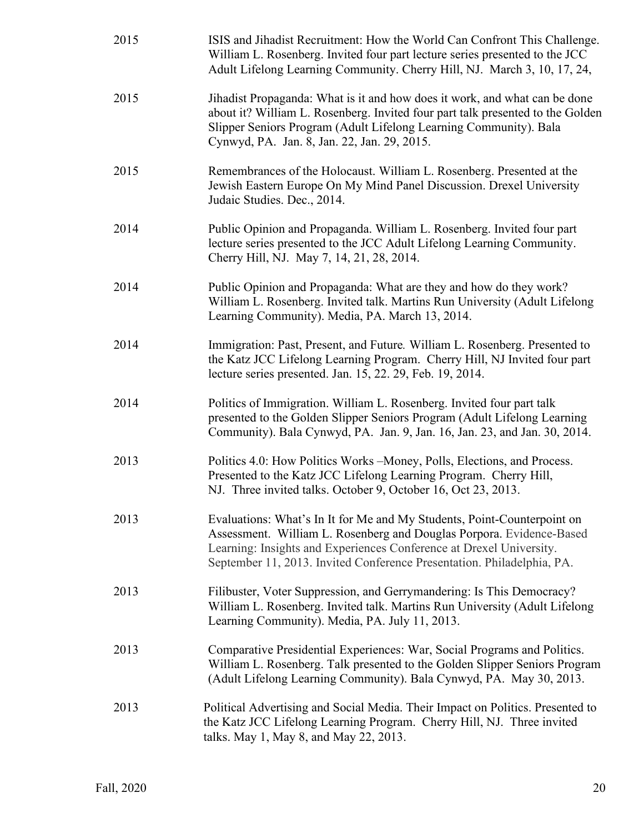| 2015 | ISIS and Jihadist Recruitment: How the World Can Confront This Challenge.<br>William L. Rosenberg. Invited four part lecture series presented to the JCC<br>Adult Lifelong Learning Community. Cherry Hill, NJ. March 3, 10, 17, 24,                                                             |
|------|--------------------------------------------------------------------------------------------------------------------------------------------------------------------------------------------------------------------------------------------------------------------------------------------------|
| 2015 | Jihadist Propaganda: What is it and how does it work, and what can be done<br>about it? William L. Rosenberg. Invited four part talk presented to the Golden<br>Slipper Seniors Program (Adult Lifelong Learning Community). Bala<br>Cynwyd, PA. Jan. 8, Jan. 22, Jan. 29, 2015.                 |
| 2015 | Remembrances of the Holocaust. William L. Rosenberg. Presented at the<br>Jewish Eastern Europe On My Mind Panel Discussion. Drexel University<br>Judaic Studies. Dec., 2014.                                                                                                                     |
| 2014 | Public Opinion and Propaganda. William L. Rosenberg. Invited four part<br>lecture series presented to the JCC Adult Lifelong Learning Community.<br>Cherry Hill, NJ. May 7, 14, 21, 28, 2014.                                                                                                    |
| 2014 | Public Opinion and Propaganda: What are they and how do they work?<br>William L. Rosenberg. Invited talk. Martins Run University (Adult Lifelong<br>Learning Community). Media, PA. March 13, 2014.                                                                                              |
| 2014 | Immigration: Past, Present, and Future. William L. Rosenberg. Presented to<br>the Katz JCC Lifelong Learning Program. Cherry Hill, NJ Invited four part<br>lecture series presented. Jan. 15, 22. 29, Feb. 19, 2014.                                                                             |
| 2014 | Politics of Immigration. William L. Rosenberg. Invited four part talk<br>presented to the Golden Slipper Seniors Program (Adult Lifelong Learning<br>Community). Bala Cynwyd, PA. Jan. 9, Jan. 16, Jan. 23, and Jan. 30, 2014.                                                                   |
| 2013 | Politics 4.0: How Politics Works – Money, Polls, Elections, and Process.<br>Presented to the Katz JCC Lifelong Learning Program. Cherry Hill,<br>NJ. Three invited talks. October 9, October 16, Oct 23, 2013.                                                                                   |
| 2013 | Evaluations: What's In It for Me and My Students, Point-Counterpoint on<br>Assessment. William L. Rosenberg and Douglas Porpora. Evidence-Based<br>Learning: Insights and Experiences Conference at Drexel University.<br>September 11, 2013. Invited Conference Presentation. Philadelphia, PA. |
| 2013 | Filibuster, Voter Suppression, and Gerrymandering: Is This Democracy?<br>William L. Rosenberg. Invited talk. Martins Run University (Adult Lifelong<br>Learning Community). Media, PA. July 11, 2013.                                                                                            |
| 2013 | Comparative Presidential Experiences: War, Social Programs and Politics.<br>William L. Rosenberg. Talk presented to the Golden Slipper Seniors Program<br>(Adult Lifelong Learning Community). Bala Cynwyd, PA. May 30, 2013.                                                                    |
| 2013 | Political Advertising and Social Media. Their Impact on Politics. Presented to<br>the Katz JCC Lifelong Learning Program. Cherry Hill, NJ. Three invited<br>talks. May 1, May 8, and May 22, 2013.                                                                                               |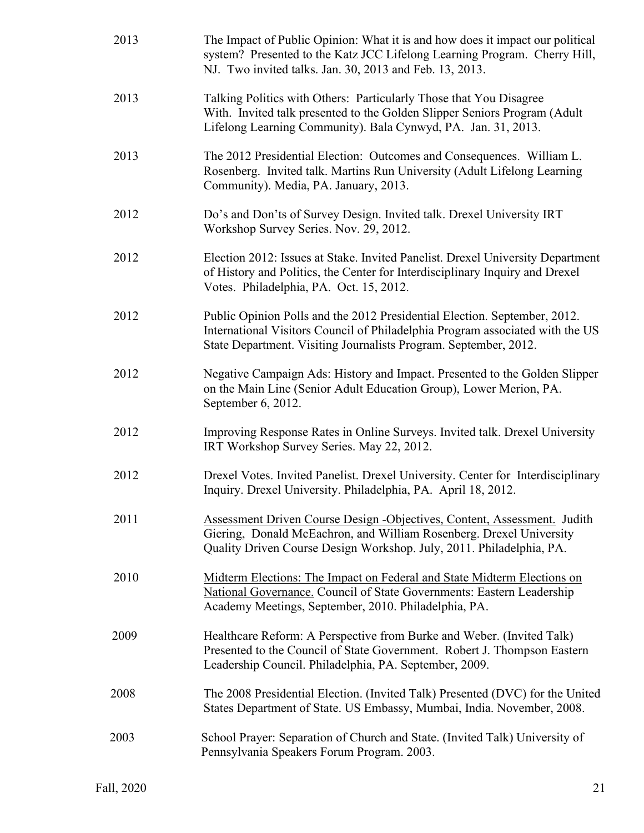| 2013 | The Impact of Public Opinion: What it is and how does it impact our political<br>system? Presented to the Katz JCC Lifelong Learning Program. Cherry Hill,<br>NJ. Two invited talks. Jan. 30, 2013 and Feb. 13, 2013.          |
|------|--------------------------------------------------------------------------------------------------------------------------------------------------------------------------------------------------------------------------------|
| 2013 | Talking Politics with Others: Particularly Those that You Disagree<br>With. Invited talk presented to the Golden Slipper Seniors Program (Adult<br>Lifelong Learning Community). Bala Cynwyd, PA. Jan. 31, 2013.               |
| 2013 | The 2012 Presidential Election: Outcomes and Consequences. William L.<br>Rosenberg. Invited talk. Martins Run University (Adult Lifelong Learning<br>Community). Media, PA. January, 2013.                                     |
| 2012 | Do's and Don'ts of Survey Design. Invited talk. Drexel University IRT<br>Workshop Survey Series. Nov. 29, 2012.                                                                                                                |
| 2012 | Election 2012: Issues at Stake. Invited Panelist. Drexel University Department<br>of History and Politics, the Center for Interdisciplinary Inquiry and Drexel<br>Votes. Philadelphia, PA. Oct. 15, 2012.                      |
| 2012 | Public Opinion Polls and the 2012 Presidential Election. September, 2012.<br>International Visitors Council of Philadelphia Program associated with the US<br>State Department. Visiting Journalists Program. September, 2012. |
| 2012 | Negative Campaign Ads: History and Impact. Presented to the Golden Slipper<br>on the Main Line (Senior Adult Education Group), Lower Merion, PA.<br>September 6, 2012.                                                         |
| 2012 | Improving Response Rates in Online Surveys. Invited talk. Drexel University<br>IRT Workshop Survey Series. May 22, 2012.                                                                                                       |
| 2012 | Drexel Votes. Invited Panelist. Drexel University. Center for Interdisciplinary<br>Inquiry. Drexel University. Philadelphia, PA. April 18, 2012.                                                                               |
| 2011 | Assessment Driven Course Design -Objectives, Content, Assessment. Judith<br>Giering, Donald McEachron, and William Rosenberg. Drexel University<br>Quality Driven Course Design Workshop. July, 2011. Philadelphia, PA.        |
| 2010 | Midterm Elections: The Impact on Federal and State Midterm Elections on<br>National Governance. Council of State Governments: Eastern Leadership<br>Academy Meetings, September, 2010. Philadelphia, PA.                       |
| 2009 | Healthcare Reform: A Perspective from Burke and Weber. (Invited Talk)<br>Presented to the Council of State Government. Robert J. Thompson Eastern<br>Leadership Council. Philadelphia, PA. September, 2009.                    |
| 2008 | The 2008 Presidential Election. (Invited Talk) Presented (DVC) for the United<br>States Department of State. US Embassy, Mumbai, India. November, 2008.                                                                        |
| 2003 | School Prayer: Separation of Church and State. (Invited Talk) University of<br>Pennsylvania Speakers Forum Program. 2003.                                                                                                      |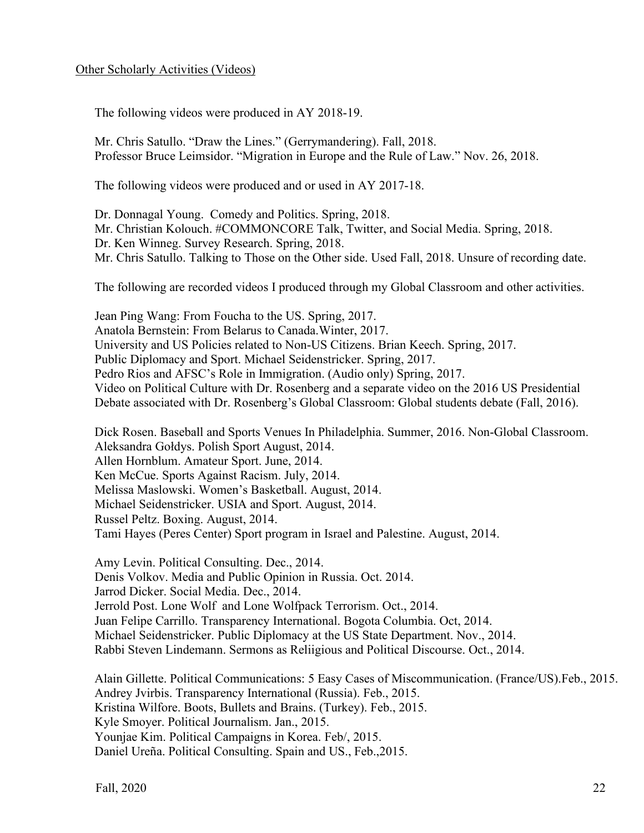### Other Scholarly Activities (Videos)

The following videos were produced in AY 2018-19.

Mr. Chris Satullo. "Draw the Lines." (Gerrymandering). Fall, 2018. Professor Bruce Leimsidor. "Migration in Europe and the Rule of Law." Nov. 26, 2018.

The following videos were produced and or used in AY 2017-18.

Dr. Donnagal Young. Comedy and Politics. Spring, 2018.

Mr. Christian Kolouch. #COMMONCORE Talk, Twitter, and Social Media. Spring, 2018.

Dr. Ken Winneg. Survey Research. Spring, 2018.

Mr. Chris Satullo. Talking to Those on the Other side. Used Fall, 2018. Unsure of recording date.

The following are recorded videos I produced through my Global Classroom and other activities.

Jean Ping Wang: From Foucha to the US. Spring, 2017. Anatola Bernstein: From Belarus to Canada.Winter, 2017. University and US Policies related to Non-US Citizens. Brian Keech. Spring, 2017. Public Diplomacy and Sport. Michael Seidenstricker. Spring, 2017. Pedro Rios and AFSC's Role in Immigration. (Audio only) Spring, 2017. Video on Political Culture with Dr. Rosenberg and a separate video on the 2016 US Presidential Debate associated with Dr. Rosenberg's Global Classroom: Global students debate (Fall, 2016).

Dick Rosen. Baseball and Sports Venues In Philadelphia. Summer, 2016. Non-Global Classroom. Aleksandra Gołdys. Polish Sport August, 2014. Allen Hornblum. Amateur Sport. June, 2014. Ken McCue. Sports Against Racism. July, 2014. Melissa Maslowski. Women's Basketball. August, 2014. Michael Seidenstricker. USIA and Sport. August, 2014. Russel Peltz. Boxing. August, 2014. Tami Hayes (Peres Center) Sport program in Israel and Palestine. August, 2014.

Amy Levin. Political Consulting. Dec., 2014. Denis Volkov. Media and Public Opinion in Russia. Oct. 2014. Jarrod Dicker. Social Media. Dec., 2014. Jerrold Post. Lone Wolf and Lone Wolfpack Terrorism. Oct., 2014. Juan Felipe Carrillo. Transparency International. Bogota Columbia. Oct, 2014. Michael Seidenstricker. Public Diplomacy at the US State Department. Nov., 2014. Rabbi Steven Lindemann. Sermons as Reliigious and Political Discourse. Oct., 2014.

Alain Gillette. Political Communications: 5 Easy Cases of Miscommunication. (France/US).Feb., 2015. Andrey Jvirbis. Transparency International (Russia). Feb., 2015. Kristina Wilfore. Boots, Bullets and Brains. (Turkey). Feb., 2015. Kyle Smoyer. Political Journalism. Jan., 2015. Younjae Kim. Political Campaigns in Korea. Feb/, 2015. Daniel Ureña. Political Consulting. Spain and US., Feb.,2015.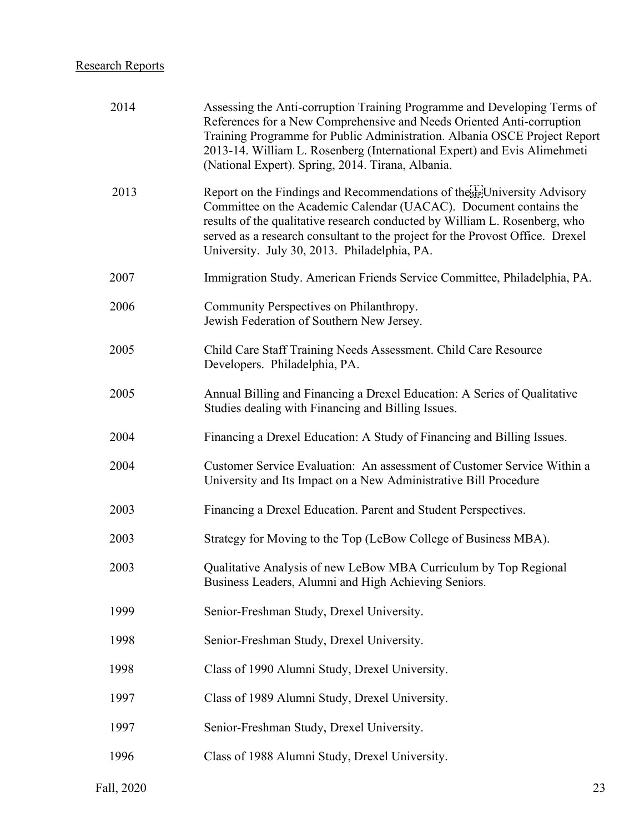## Research Reports

| 2014 | Assessing the Anti-corruption Training Programme and Developing Terms of<br>References for a New Comprehensive and Needs Oriented Anti-corruption<br>Training Programme for Public Administration. Albania OSCE Project Report<br>2013-14. William L. Rosenberg (International Expert) and Evis Alimehmeti<br>(National Expert). Spring, 2014. Tirana, Albania. |
|------|-----------------------------------------------------------------------------------------------------------------------------------------------------------------------------------------------------------------------------------------------------------------------------------------------------------------------------------------------------------------|
| 2013 | Report on the Findings and Recommendations of the Erel University Advisory<br>Committee on the Academic Calendar (UACAC). Document contains the<br>results of the qualitative research conducted by William L. Rosenberg, who<br>served as a research consultant to the project for the Provost Office. Drexel<br>University. July 30, 2013. Philadelphia, PA.  |
| 2007 | Immigration Study. American Friends Service Committee, Philadelphia, PA.                                                                                                                                                                                                                                                                                        |
| 2006 | Community Perspectives on Philanthropy.<br>Jewish Federation of Southern New Jersey.                                                                                                                                                                                                                                                                            |
| 2005 | Child Care Staff Training Needs Assessment. Child Care Resource<br>Developers. Philadelphia, PA.                                                                                                                                                                                                                                                                |
| 2005 | Annual Billing and Financing a Drexel Education: A Series of Qualitative<br>Studies dealing with Financing and Billing Issues.                                                                                                                                                                                                                                  |
| 2004 | Financing a Drexel Education: A Study of Financing and Billing Issues.                                                                                                                                                                                                                                                                                          |
| 2004 | Customer Service Evaluation: An assessment of Customer Service Within a<br>University and Its Impact on a New Administrative Bill Procedure                                                                                                                                                                                                                     |
| 2003 | Financing a Drexel Education. Parent and Student Perspectives.                                                                                                                                                                                                                                                                                                  |
| 2003 | Strategy for Moving to the Top (LeBow College of Business MBA).                                                                                                                                                                                                                                                                                                 |
| 2003 | Qualitative Analysis of new LeBow MBA Curriculum by Top Regional<br>Business Leaders, Alumni and High Achieving Seniors.                                                                                                                                                                                                                                        |
| 1999 | Senior-Freshman Study, Drexel University.                                                                                                                                                                                                                                                                                                                       |
| 1998 | Senior-Freshman Study, Drexel University.                                                                                                                                                                                                                                                                                                                       |
| 1998 | Class of 1990 Alumni Study, Drexel University.                                                                                                                                                                                                                                                                                                                  |
| 1997 | Class of 1989 Alumni Study, Drexel University.                                                                                                                                                                                                                                                                                                                  |
| 1997 | Senior-Freshman Study, Drexel University.                                                                                                                                                                                                                                                                                                                       |
| 1996 | Class of 1988 Alumni Study, Drexel University.                                                                                                                                                                                                                                                                                                                  |
|      |                                                                                                                                                                                                                                                                                                                                                                 |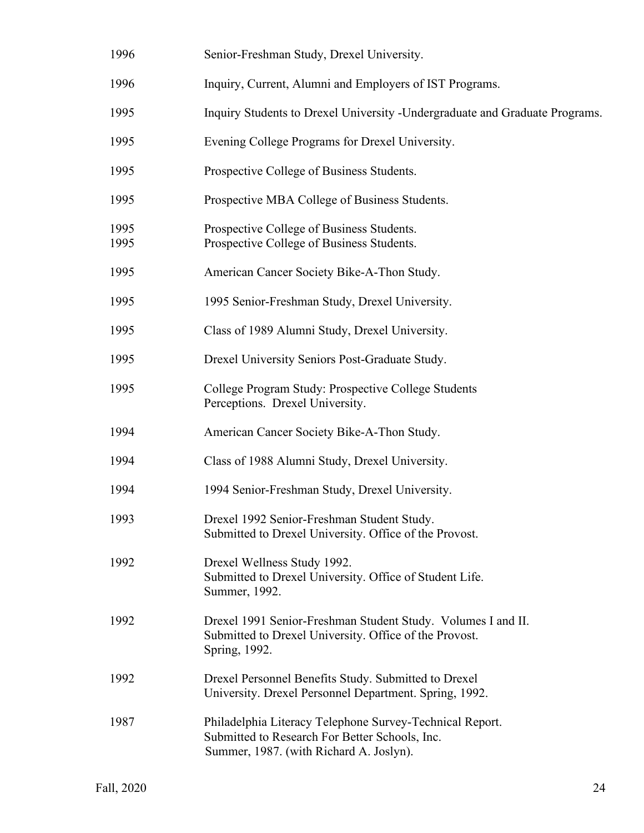| 1996         | Senior-Freshman Study, Drexel University.                                                                                                             |
|--------------|-------------------------------------------------------------------------------------------------------------------------------------------------------|
| 1996         | Inquiry, Current, Alumni and Employers of IST Programs.                                                                                               |
| 1995         | Inquiry Students to Drexel University - Undergraduate and Graduate Programs.                                                                          |
| 1995         | Evening College Programs for Drexel University.                                                                                                       |
| 1995         | Prospective College of Business Students.                                                                                                             |
| 1995         | Prospective MBA College of Business Students.                                                                                                         |
| 1995<br>1995 | Prospective College of Business Students.<br>Prospective College of Business Students.                                                                |
| 1995         | American Cancer Society Bike-A-Thon Study.                                                                                                            |
| 1995         | 1995 Senior-Freshman Study, Drexel University.                                                                                                        |
| 1995         | Class of 1989 Alumni Study, Drexel University.                                                                                                        |
| 1995         | Drexel University Seniors Post-Graduate Study.                                                                                                        |
| 1995         | College Program Study: Prospective College Students<br>Perceptions. Drexel University.                                                                |
| 1994         | American Cancer Society Bike-A-Thon Study.                                                                                                            |
| 1994         | Class of 1988 Alumni Study, Drexel University.                                                                                                        |
| 1994         | 1994 Senior-Freshman Study, Drexel University.                                                                                                        |
| 1993         | Drexel 1992 Senior-Freshman Student Study.<br>Submitted to Drexel University. Office of the Provost.                                                  |
| 1992         | Drexel Wellness Study 1992.<br>Submitted to Drexel University. Office of Student Life.<br>Summer, 1992.                                               |
| 1992         | Drexel 1991 Senior-Freshman Student Study. Volumes I and II.<br>Submitted to Drexel University. Office of the Provost.<br>Spring, 1992.               |
| 1992         | Drexel Personnel Benefits Study. Submitted to Drexel<br>University. Drexel Personnel Department. Spring, 1992.                                        |
| 1987         | Philadelphia Literacy Telephone Survey-Technical Report.<br>Submitted to Research For Better Schools, Inc.<br>Summer, 1987. (with Richard A. Joslyn). |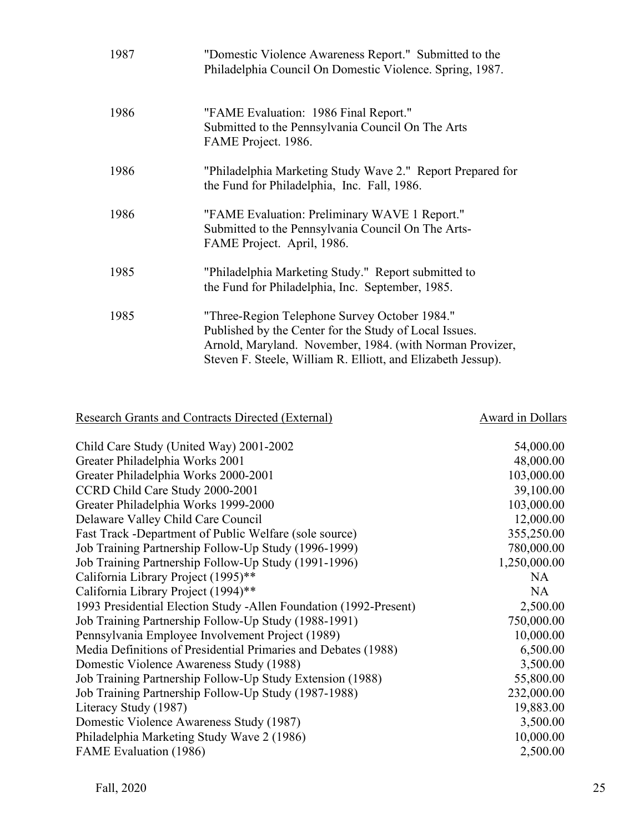| 1987 | "Domestic Violence Awareness Report." Submitted to the<br>Philadelphia Council On Domestic Violence. Spring, 1987.                                                                                                                  |
|------|-------------------------------------------------------------------------------------------------------------------------------------------------------------------------------------------------------------------------------------|
| 1986 | "FAME Evaluation: 1986 Final Report."<br>Submitted to the Pennsylvania Council On The Arts<br>FAME Project. 1986.                                                                                                                   |
| 1986 | "Philadelphia Marketing Study Wave 2." Report Prepared for<br>the Fund for Philadelphia, Inc. Fall, 1986.                                                                                                                           |
| 1986 | "FAME Evaluation: Preliminary WAVE 1 Report."<br>Submitted to the Pennsylvania Council On The Arts-<br>FAME Project. April, 1986.                                                                                                   |
| 1985 | "Philadelphia Marketing Study." Report submitted to<br>the Fund for Philadelphia, Inc. September, 1985.                                                                                                                             |
| 1985 | "Three-Region Telephone Survey October 1984."<br>Published by the Center for the Study of Local Issues.<br>Arnold, Maryland. November, 1984. (with Norman Provizer,<br>Steven F. Steele, William R. Elliott, and Elizabeth Jessup). |

## Research Grants and Contracts Directed (External) Award in Dollars

| Child Care Study (United Way) 2001-2002                           | 54,000.00    |
|-------------------------------------------------------------------|--------------|
| Greater Philadelphia Works 2001                                   | 48,000.00    |
| Greater Philadelphia Works 2000-2001                              | 103,000.00   |
| CCRD Child Care Study 2000-2001                                   | 39,100.00    |
| Greater Philadelphia Works 1999-2000                              | 103,000.00   |
| Delaware Valley Child Care Council                                | 12,000.00    |
| Fast Track -Department of Public Welfare (sole source)            | 355,250.00   |
| Job Training Partnership Follow-Up Study (1996-1999)              | 780,000.00   |
| Job Training Partnership Follow-Up Study (1991-1996)              | 1,250,000.00 |
| California Library Project (1995)**                               | NA           |
| California Library Project (1994)**                               | NA           |
| 1993 Presidential Election Study -Allen Foundation (1992-Present) | 2,500.00     |
| Job Training Partnership Follow-Up Study (1988-1991)              | 750,000.00   |
| Pennsylvania Employee Involvement Project (1989)                  | 10,000.00    |
| Media Definitions of Presidential Primaries and Debates (1988)    | 6,500.00     |
| Domestic Violence Awareness Study (1988)                          | 3,500.00     |
| Job Training Partnership Follow-Up Study Extension (1988)         | 55,800.00    |
| Job Training Partnership Follow-Up Study (1987-1988)              | 232,000.00   |
| Literacy Study (1987)                                             | 19,883.00    |
| Domestic Violence Awareness Study (1987)                          | 3,500.00     |
| Philadelphia Marketing Study Wave 2 (1986)                        | 10,000.00    |
| FAME Evaluation (1986)                                            | 2,500.00     |
|                                                                   |              |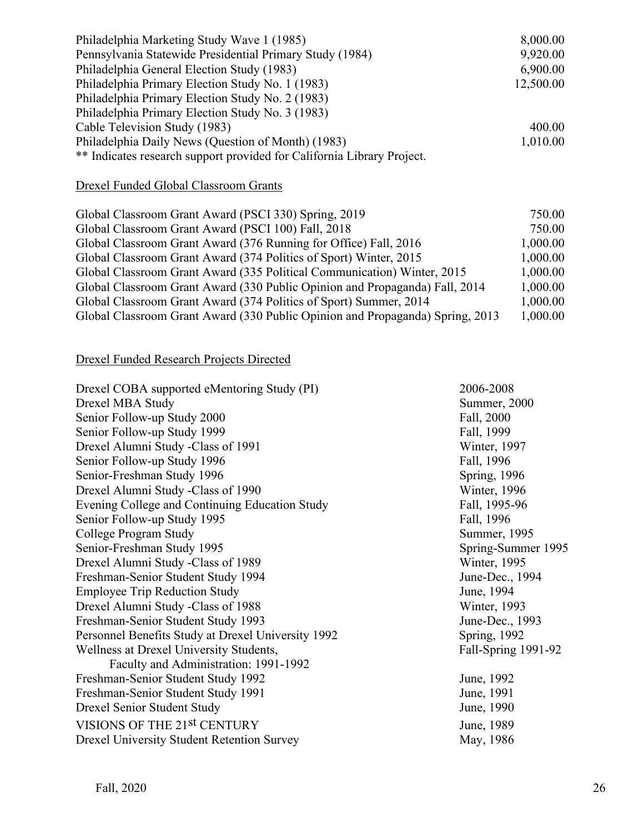| Philadelphia Marketing Study Wave 1 (1985)                             | 8,000.00  |
|------------------------------------------------------------------------|-----------|
| Pennsylvania Statewide Presidential Primary Study (1984)               | 9,920.00  |
| Philadelphia General Election Study (1983)                             | 6,900.00  |
| Philadelphia Primary Election Study No. 1 (1983)                       | 12,500.00 |
| Philadelphia Primary Election Study No. 2 (1983)                       |           |
| Philadelphia Primary Election Study No. 3 (1983)                       |           |
| Cable Television Study (1983)                                          | 400.00    |
| Philadelphia Daily News (Question of Month) (1983)                     | 1,010.00  |
| ** Indicates research support provided for California Library Project. |           |

## Drexel Funded Global Classroom Grants

| Global Classroom Grant Award (PSCI 330) Spring, 2019                          | 750.00   |
|-------------------------------------------------------------------------------|----------|
| Global Classroom Grant Award (PSCI 100) Fall, 2018                            | 750.00   |
| Global Classroom Grant Award (376 Running for Office) Fall, 2016              | 1,000.00 |
| Global Classroom Grant Award (374 Politics of Sport) Winter, 2015             | 1,000.00 |
| Global Classroom Grant Award (335 Political Communication) Winter, 2015       | 1,000.00 |
| Global Classroom Grant Award (330 Public Opinion and Propaganda) Fall, 2014   | 1,000.00 |
| Global Classroom Grant Award (374 Politics of Sport) Summer, 2014             | 1,000.00 |
| Global Classroom Grant Award (330 Public Opinion and Propaganda) Spring, 2013 | 1,000.00 |

## Drexel Funded Research Projects Directed

| Drexel COBA supported eMentoring Study (PI)        | 2006-2008            |
|----------------------------------------------------|----------------------|
| Drexel MBA Study                                   | Summer, 2000         |
| Senior Follow-up Study 2000                        | Fall, 2000           |
| Senior Follow-up Study 1999                        | Fall, 1999           |
| Drexel Alumni Study -Class of 1991                 | Winter, 1997         |
| Senior Follow-up Study 1996                        | Fall, 1996           |
| Senior-Freshman Study 1996                         | Spring, 1996         |
| Drexel Alumni Study -Class of 1990                 | Winter, 1996         |
| Evening College and Continuing Education Study     | Fall, 1995-96        |
| Senior Follow-up Study 1995                        | Fall, 1996           |
| College Program Study                              | Summer, 1995         |
| Senior-Freshman Study 1995                         | Spring-Summer 1995   |
| Drexel Alumni Study - Class of 1989                | Winter, 1995         |
| Freshman-Senior Student Study 1994                 | June-Dec., 1994      |
| <b>Employee Trip Reduction Study</b>               | June, 1994           |
| Drexel Alumni Study -Class of 1988                 | Winter, 1993         |
| Freshman-Senior Student Study 1993                 | June-Dec., 1993      |
| Personnel Benefits Study at Drexel University 1992 | <b>Spring</b> , 1992 |
| Wellness at Drexel University Students,            | Fall-Spring 1991-92  |
| Faculty and Administration: 1991-1992              |                      |
| Freshman-Senior Student Study 1992                 | June, 1992           |
| Freshman-Senior Student Study 1991                 | June, 1991           |
| Drexel Senior Student Study                        | June, 1990           |
| VISIONS OF THE 21st CENTURY                        | June, 1989           |
| <b>Drexel University Student Retention Survey</b>  | May, 1986            |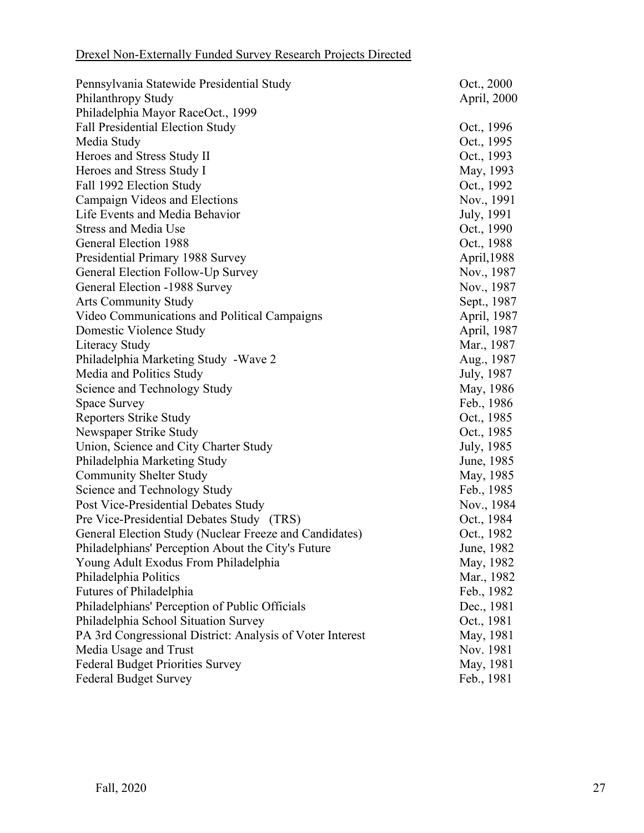| Pennsylvania Statewide Presidential Study                 | Oct., 2000  |
|-----------------------------------------------------------|-------------|
| Philanthropy Study                                        | April, 2000 |
| Philadelphia Mayor RaceOct., 1999                         |             |
| <b>Fall Presidential Election Study</b>                   | Oct., 1996  |
| Media Study                                               | Oct., 1995  |
| Heroes and Stress Study II                                | Oct., 1993  |
| Heroes and Stress Study I                                 | May, 1993   |
| Fall 1992 Election Study                                  | Oct., 1992  |
| Campaign Videos and Elections                             | Nov., 1991  |
| Life Events and Media Behavior                            | July, 1991  |
| <b>Stress and Media Use</b>                               | Oct., 1990  |
| General Election 1988                                     | Oct., 1988  |
| Presidential Primary 1988 Survey                          | April, 1988 |
| General Election Follow-Up Survey                         | Nov., 1987  |
| General Election -1988 Survey                             | Nov., 1987  |
| <b>Arts Community Study</b>                               | Sept., 1987 |
| Video Communications and Political Campaigns              | April, 1987 |
| Domestic Violence Study                                   | April, 1987 |
| Literacy Study                                            | Mar., 1987  |
| Philadelphia Marketing Study - Wave 2                     | Aug., 1987  |
| Media and Politics Study                                  | July, 1987  |
| Science and Technology Study                              | May, 1986   |
| Space Survey                                              | Feb., 1986  |
| <b>Reporters Strike Study</b>                             | Oct., 1985  |
| Newspaper Strike Study                                    | Oct., 1985  |
| Union, Science and City Charter Study                     | July, 1985  |
| Philadelphia Marketing Study                              | June, 1985  |
| <b>Community Shelter Study</b>                            | May, 1985   |
| Science and Technology Study                              | Feb., 1985  |
| Post Vice-Presidential Debates Study                      | Nov., 1984  |
| Pre Vice-Presidential Debates Study (TRS)                 | Oct., 1984  |
| General Election Study (Nuclear Freeze and Candidates)    | Oct., 1982  |
| Philadelphians' Perception About the City's Future        | June, 1982  |
| Young Adult Exodus From Philadelphia                      | May, 1982   |
| Philadelphia Politics                                     | Mar., 1982  |
| Futures of Philadelphia                                   | Feb., 1982  |
| Philadelphians' Perception of Public Officials            | Dec., 1981  |
| Philadelphia School Situation Survey                      | Oct., 1981  |
| PA 3rd Congressional District: Analysis of Voter Interest | May, 1981   |
| Media Usage and Trust                                     | Nov. 1981   |
| <b>Federal Budget Priorities Survey</b>                   | May, 1981   |
| <b>Federal Budget Survey</b>                              | Feb., 1981  |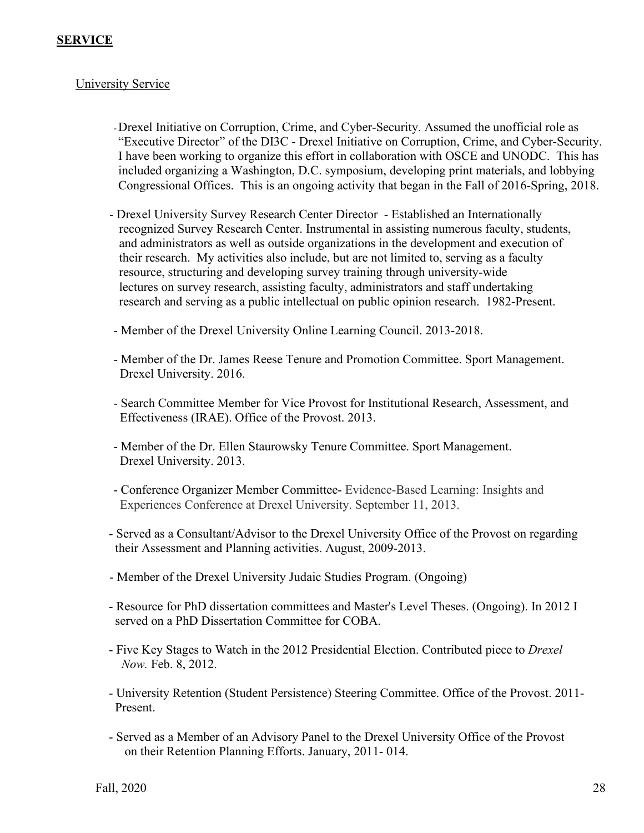## **SERVICE**

## University Service

-Drexel Initiative on Corruption, Crime, and Cyber-Security. Assumed the unofficial role as "Executive Director" of the DI3C - Drexel Initiative on Corruption, Crime, and Cyber-Security. I have been working to organize this effort in collaboration with OSCE and UNODC. This has included organizing a Washington, D.C. symposium, developing print materials, and lobbying Congressional Offices. This is an ongoing activity that began in the Fall of 2016-Spring, 2018.

- Drexel University Survey Research Center Director Established an Internationally recognized Survey Research Center. Instrumental in assisting numerous faculty, students, and administrators as well as outside organizations in the development and execution of their research. My activities also include, but are not limited to, serving as a faculty resource, structuring and developing survey training through university-wide lectures on survey research, assisting faculty, administrators and staff undertaking research and serving as a public intellectual on public opinion research. 1982-Present.
- Member of the Drexel University Online Learning Council. 2013-2018.
- Member of the Dr. James Reese Tenure and Promotion Committee. Sport Management. Drexel University. 2016.
- Search Committee Member for Vice Provost for Institutional Research, Assessment, and Effectiveness (IRAE). Office of the Provost. 2013.
- Member of the Dr. Ellen Staurowsky Tenure Committee. Sport Management. Drexel University. 2013.
- Conference Organizer Member Committee- Evidence-Based Learning: Insights and Experiences Conference at Drexel University. September 11, 2013.
- Served as a Consultant/Advisor to the Drexel University Office of the Provost on regarding their Assessment and Planning activities. August, 2009-2013.
- Member of the Drexel University Judaic Studies Program. (Ongoing)
- Resource for PhD dissertation committees and Master's Level Theses. (Ongoing). In 2012 I served on a PhD Dissertation Committee for COBA.
- Five Key Stages to Watch in the 2012 Presidential Election. Contributed piece to *Drexel Now.* Feb. 8, 2012.
- University Retention (Student Persistence) Steering Committee. Office of the Provost. 2011- Present.
- Served as a Member of an Advisory Panel to the Drexel University Office of the Provost on their Retention Planning Efforts. January, 2011- 014.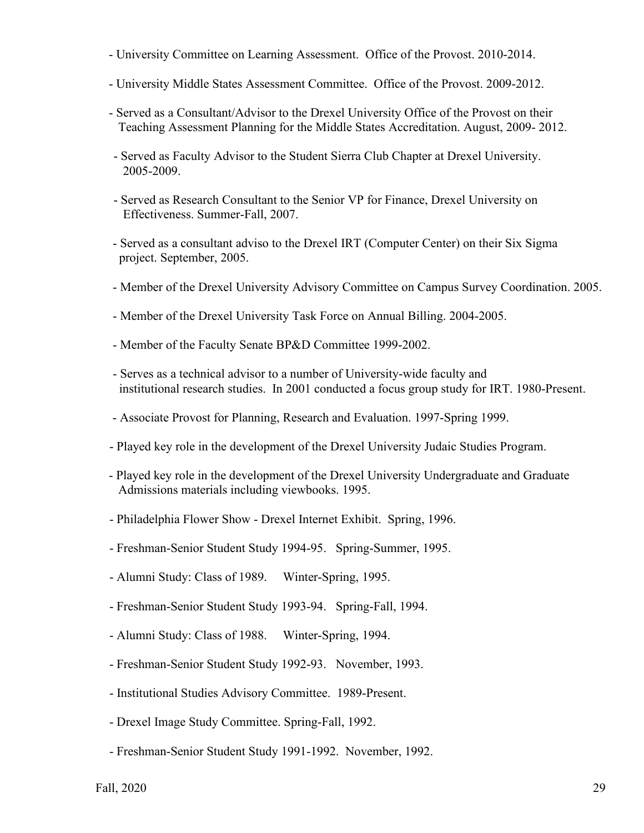- University Committee on Learning Assessment. Office of the Provost. 2010-2014.
- University Middle States Assessment Committee. Office of the Provost. 2009-2012.
- Served as a Consultant/Advisor to the Drexel University Office of the Provost on their Teaching Assessment Planning for the Middle States Accreditation. August, 2009- 2012.
- Served as Faculty Advisor to the Student Sierra Club Chapter at Drexel University. 2005-2009.
- Served as Research Consultant to the Senior VP for Finance, Drexel University on Effectiveness. Summer-Fall, 2007.
- Served as a consultant adviso to the Drexel IRT (Computer Center) on their Six Sigma project. September, 2005.
- Member of the Drexel University Advisory Committee on Campus Survey Coordination. 2005.
- Member of the Drexel University Task Force on Annual Billing. 2004-2005.
- Member of the Faculty Senate BP&D Committee 1999-2002.
- Serves as a technical advisor to a number of University-wide faculty and institutional research studies. In 2001 conducted a focus group study for IRT. 1980-Present.
- Associate Provost for Planning, Research and Evaluation. 1997-Spring 1999.
- Played key role in the development of the Drexel University Judaic Studies Program.
- Played key role in the development of the Drexel University Undergraduate and Graduate Admissions materials including viewbooks. 1995.
- Philadelphia Flower Show Drexel Internet Exhibit. Spring, 1996.
- Freshman-Senior Student Study 1994-95. Spring-Summer, 1995.
- Alumni Study: Class of 1989. Winter-Spring, 1995.
- Freshman-Senior Student Study 1993-94. Spring-Fall, 1994.
- Alumni Study: Class of 1988. Winter-Spring, 1994.
- Freshman-Senior Student Study 1992-93. November, 1993.
- Institutional Studies Advisory Committee. 1989-Present.
- Drexel Image Study Committee. Spring-Fall, 1992.
- Freshman-Senior Student Study 1991-1992. November, 1992.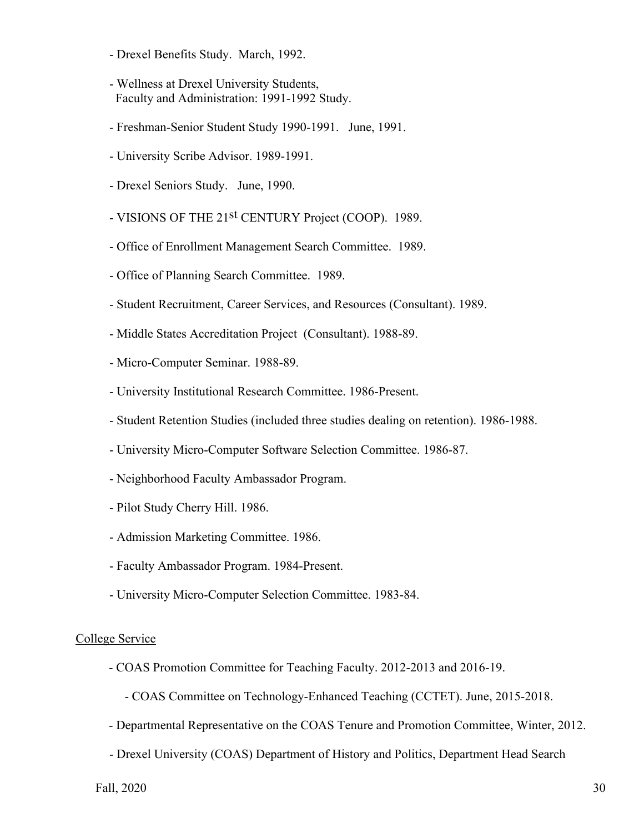- Drexel Benefits Study. March, 1992.
- Wellness at Drexel University Students, Faculty and Administration: 1991-1992 Study.
- Freshman-Senior Student Study 1990-1991. June, 1991.
- University Scribe Advisor. 1989-1991.
- Drexel Seniors Study. June, 1990.
- VISIONS OF THE 21<sup>st</sup> CENTURY Project (COOP). 1989.
- Office of Enrollment Management Search Committee. 1989.
- Office of Planning Search Committee. 1989.
- Student Recruitment, Career Services, and Resources (Consultant). 1989.
- Middle States Accreditation Project (Consultant). 1988-89.
- Micro-Computer Seminar. 1988-89.
- University Institutional Research Committee. 1986-Present.
- Student Retention Studies (included three studies dealing on retention). 1986-1988.
- University Micro-Computer Software Selection Committee. 1986-87.
- Neighborhood Faculty Ambassador Program.
- Pilot Study Cherry Hill. 1986.
- Admission Marketing Committee. 1986.
- Faculty Ambassador Program. 1984-Present.
- University Micro-Computer Selection Committee. 1983-84.

#### College Service

- COAS Promotion Committee for Teaching Faculty. 2012-2013 and 2016-19.
	- COAS Committee on Technology-Enhanced Teaching (CCTET). June, 2015-2018.
- Departmental Representative on the COAS Tenure and Promotion Committee, Winter, 2012.
- Drexel University (COAS) Department of History and Politics, Department Head Search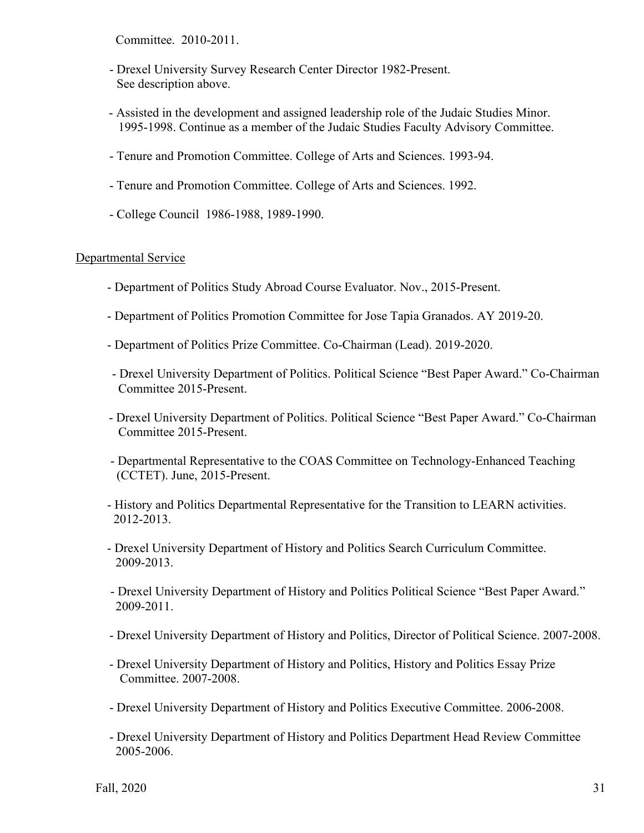Committee. 2010-2011.

- Drexel University Survey Research Center Director 1982-Present. See description above.
- Assisted in the development and assigned leadership role of the Judaic Studies Minor. 1995-1998. Continue as a member of the Judaic Studies Faculty Advisory Committee.
- Tenure and Promotion Committee. College of Arts and Sciences. 1993-94.
- Tenure and Promotion Committee. College of Arts and Sciences. 1992.
- College Council 1986-1988, 1989-1990.

### Departmental Service

- Department of Politics Study Abroad Course Evaluator. Nov., 2015-Present.
- Department of Politics Promotion Committee for Jose Tapia Granados. AY 2019-20.
- Department of Politics Prize Committee. Co-Chairman (Lead). 2019-2020.
- Drexel University Department of Politics. Political Science "Best Paper Award." Co-Chairman Committee 2015-Present.
- Drexel University Department of Politics. Political Science "Best Paper Award." Co-Chairman Committee 2015-Present.
- Departmental Representative to the COAS Committee on Technology-Enhanced Teaching (CCTET). June, 2015-Present.
- History and Politics Departmental Representative for the Transition to LEARN activities. 2012-2013.
- Drexel University Department of History and Politics Search Curriculum Committee. 2009-2013.
- Drexel University Department of History and Politics Political Science "Best Paper Award." 2009-2011.
- Drexel University Department of History and Politics, Director of Political Science. 2007-2008.
- Drexel University Department of History and Politics, History and Politics Essay Prize Committee. 2007-2008.
- Drexel University Department of History and Politics Executive Committee. 2006-2008.
- Drexel University Department of History and Politics Department Head Review Committee 2005-2006.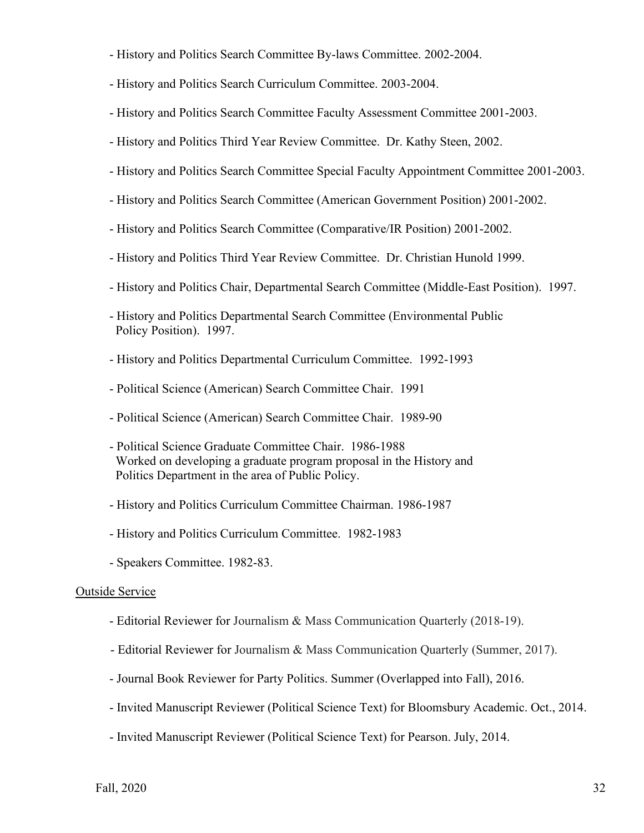- History and Politics Search Committee By-laws Committee. 2002-2004.
- History and Politics Search Curriculum Committee. 2003-2004.
- History and Politics Search Committee Faculty Assessment Committee 2001-2003.
- History and Politics Third Year Review Committee. Dr. Kathy Steen, 2002.
- History and Politics Search Committee Special Faculty Appointment Committee 2001-2003.
- History and Politics Search Committee (American Government Position) 2001-2002.
- History and Politics Search Committee (Comparative/IR Position) 2001-2002.
- History and Politics Third Year Review Committee. Dr. Christian Hunold 1999.
- History and Politics Chair, Departmental Search Committee (Middle-East Position). 1997.
- History and Politics Departmental Search Committee (Environmental Public Policy Position). 1997.
- History and Politics Departmental Curriculum Committee. 1992-1993
- Political Science (American) Search Committee Chair. 1991
- Political Science (American) Search Committee Chair. 1989-90
- Political Science Graduate Committee Chair. 1986-1988 Worked on developing a graduate program proposal in the History and Politics Department in the area of Public Policy.
- History and Politics Curriculum Committee Chairman. 1986-1987
- History and Politics Curriculum Committee. 1982-1983
- Speakers Committee. 1982-83.

#### Outside Service

- Editorial Reviewer for Journalism & Mass Communication Quarterly (2018-19).
- Editorial Reviewer for Journalism & Mass Communication Quarterly (Summer, 2017).
- Journal Book Reviewer for Party Politics. Summer (Overlapped into Fall), 2016.
- Invited Manuscript Reviewer (Political Science Text) for Bloomsbury Academic. Oct., 2014.
- Invited Manuscript Reviewer (Political Science Text) for Pearson. July, 2014.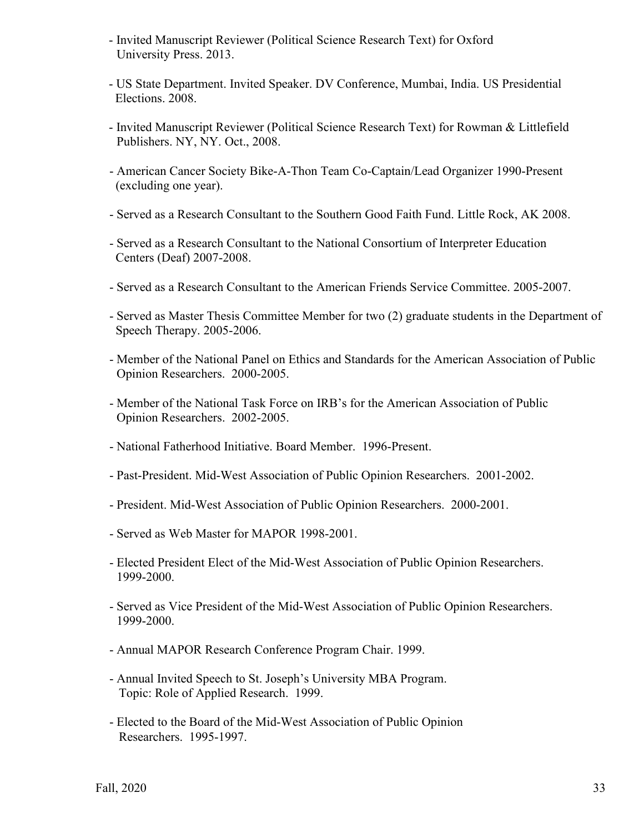- Invited Manuscript Reviewer (Political Science Research Text) for Oxford University Press. 2013.
- US State Department. Invited Speaker. DV Conference, Mumbai, India. US Presidential Elections. 2008.
- Invited Manuscript Reviewer (Political Science Research Text) for Rowman & Littlefield Publishers. NY, NY. Oct., 2008.
- American Cancer Society Bike-A-Thon Team Co-Captain/Lead Organizer 1990-Present (excluding one year).
- Served as a Research Consultant to the Southern Good Faith Fund. Little Rock, AK 2008.
- Served as a Research Consultant to the National Consortium of Interpreter Education Centers (Deaf) 2007-2008.
- Served as a Research Consultant to the American Friends Service Committee. 2005-2007.
- Served as Master Thesis Committee Member for two (2) graduate students in the Department of Speech Therapy. 2005-2006.
- Member of the National Panel on Ethics and Standards for the American Association of Public Opinion Researchers. 2000-2005.
- Member of the National Task Force on IRB's for the American Association of Public Opinion Researchers. 2002-2005.
- National Fatherhood Initiative. Board Member. 1996-Present.
- Past-President. Mid-West Association of Public Opinion Researchers. 2001-2002.
- President. Mid-West Association of Public Opinion Researchers. 2000-2001.
- Served as Web Master for MAPOR 1998-2001.
- Elected President Elect of the Mid-West Association of Public Opinion Researchers. 1999-2000.
- Served as Vice President of the Mid-West Association of Public Opinion Researchers. 1999-2000.
- Annual MAPOR Research Conference Program Chair. 1999.
- Annual Invited Speech to St. Joseph's University MBA Program. Topic: Role of Applied Research. 1999.
- Elected to the Board of the Mid-West Association of Public Opinion Researchers. 1995-1997.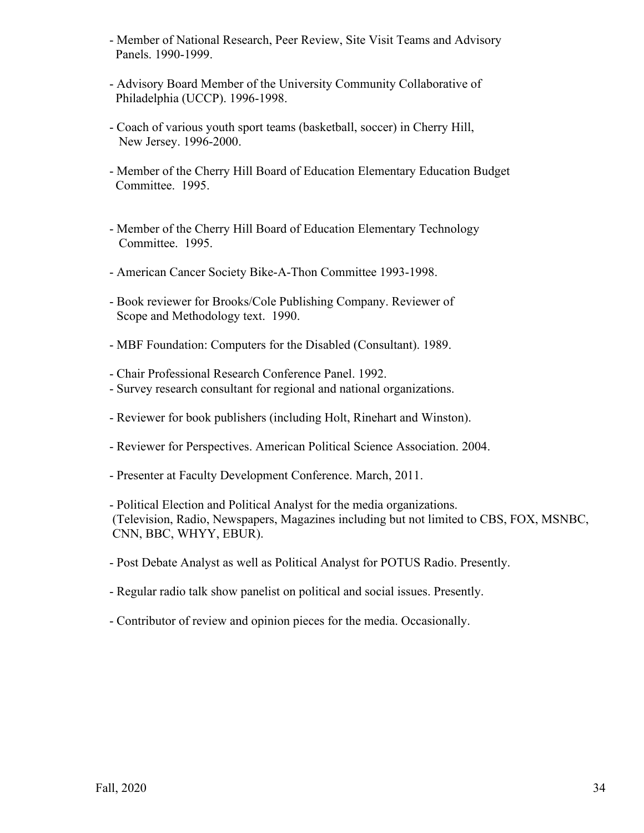- Member of National Research, Peer Review, Site Visit Teams and Advisory Panels. 1990-1999.
- Advisory Board Member of the University Community Collaborative of Philadelphia (UCCP). 1996-1998.
- Coach of various youth sport teams (basketball, soccer) in Cherry Hill, New Jersey. 1996-2000.
- Member of the Cherry Hill Board of Education Elementary Education Budget Committee. 1995.
- Member of the Cherry Hill Board of Education Elementary Technology Committee. 1995.
- American Cancer Society Bike-A-Thon Committee 1993-1998.
- Book reviewer for Brooks/Cole Publishing Company. Reviewer of Scope and Methodology text. 1990.
- MBF Foundation: Computers for the Disabled (Consultant). 1989.
- Chair Professional Research Conference Panel. 1992.
- Survey research consultant for regional and national organizations.
- Reviewer for book publishers (including Holt, Rinehart and Winston).
- Reviewer for Perspectives. American Political Science Association. 2004.
- Presenter at Faculty Development Conference. March, 2011.
- Political Election and Political Analyst for the media organizations. (Television, Radio, Newspapers, Magazines including but not limited to CBS, FOX, MSNBC, CNN, BBC, WHYY, EBUR).
- Post Debate Analyst as well as Political Analyst for POTUS Radio. Presently.
- Regular radio talk show panelist on political and social issues. Presently.
- Contributor of review and opinion pieces for the media. Occasionally.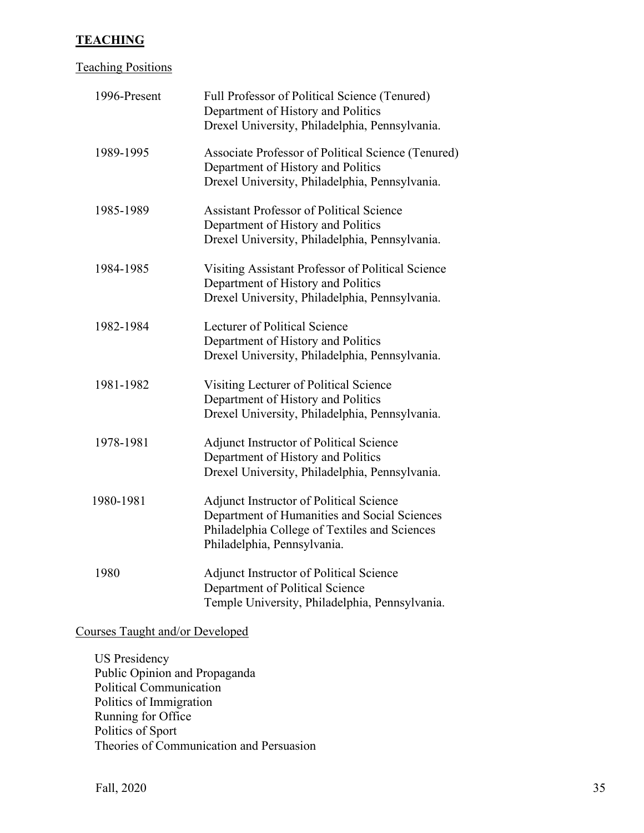## **TEACHING**

## Teaching Positions

| 1996-Present | Full Professor of Political Science (Tenured)<br>Department of History and Politics<br>Drexel University, Philadelphia, Pennsylvania.                                   |
|--------------|-------------------------------------------------------------------------------------------------------------------------------------------------------------------------|
| 1989-1995    | Associate Professor of Political Science (Tenured)<br>Department of History and Politics<br>Drexel University, Philadelphia, Pennsylvania.                              |
| 1985-1989    | <b>Assistant Professor of Political Science</b><br>Department of History and Politics<br>Drexel University, Philadelphia, Pennsylvania.                                 |
| 1984-1985    | Visiting Assistant Professor of Political Science<br>Department of History and Politics<br>Drexel University, Philadelphia, Pennsylvania.                               |
| 1982-1984    | Lecturer of Political Science<br>Department of History and Politics<br>Drexel University, Philadelphia, Pennsylvania.                                                   |
| 1981-1982    | Visiting Lecturer of Political Science<br>Department of History and Politics<br>Drexel University, Philadelphia, Pennsylvania.                                          |
| 1978-1981    | <b>Adjunct Instructor of Political Science</b><br>Department of History and Politics<br>Drexel University, Philadelphia, Pennsylvania.                                  |
| 1980-1981    | Adjunct Instructor of Political Science<br>Department of Humanities and Social Sciences<br>Philadelphia College of Textiles and Sciences<br>Philadelphia, Pennsylvania. |
| 1980         | <b>Adjunct Instructor of Political Science</b><br>Department of Political Science<br>Temple University, Philadelphia, Pennsylvania.                                     |

# Courses Taught and/or Developed

US Presidency Public Opinion and Propaganda Political Communication Politics of Immigration Running for Office Politics of Sport Theories of Communication and Persuasion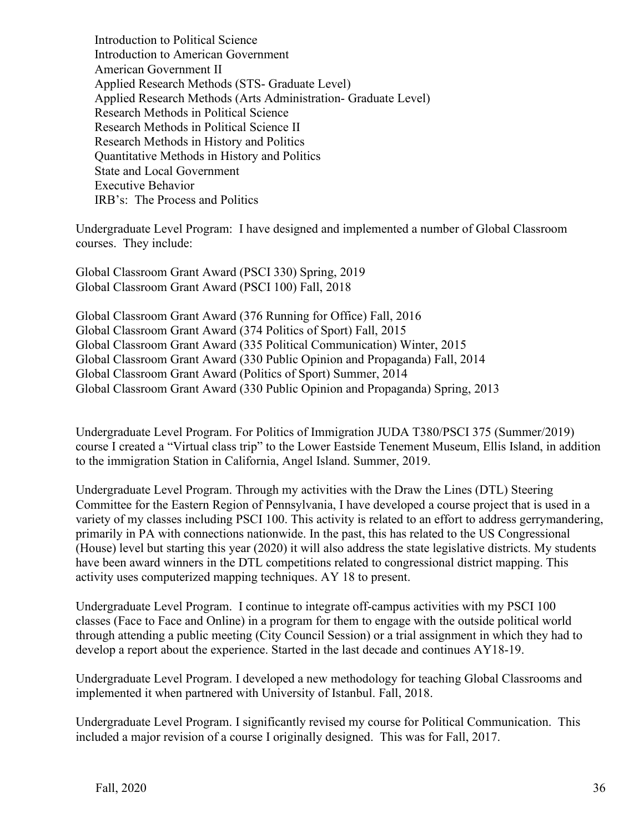Introduction to Political Science Introduction to American Government American Government II Applied Research Methods (STS- Graduate Level) Applied Research Methods (Arts Administration- Graduate Level) Research Methods in Political Science Research Methods in Political Science II Research Methods in History and Politics Quantitative Methods in History and Politics State and Local Government Executive Behavior IRB's: The Process and Politics

Undergraduate Level Program: I have designed and implemented a number of Global Classroom courses. They include:

Global Classroom Grant Award (PSCI 330) Spring, 2019 Global Classroom Grant Award (PSCI 100) Fall, 2018

Global Classroom Grant Award (376 Running for Office) Fall, 2016 Global Classroom Grant Award (374 Politics of Sport) Fall, 2015 Global Classroom Grant Award (335 Political Communication) Winter, 2015 Global Classroom Grant Award (330 Public Opinion and Propaganda) Fall, 2014 Global Classroom Grant Award (Politics of Sport) Summer, 2014 Global Classroom Grant Award (330 Public Opinion and Propaganda) Spring, 2013

Undergraduate Level Program. For Politics of Immigration JUDA T380/PSCI 375 (Summer/2019) course I created a "Virtual class trip" to the Lower Eastside Tenement Museum, Ellis Island, in addition to the immigration Station in California, Angel Island. Summer, 2019.

Undergraduate Level Program. Through my activities with the Draw the Lines (DTL) Steering Committee for the Eastern Region of Pennsylvania, I have developed a course project that is used in a variety of my classes including PSCI 100. This activity is related to an effort to address gerrymandering, primarily in PA with connections nationwide. In the past, this has related to the US Congressional (House) level but starting this year (2020) it will also address the state legislative districts. My students have been award winners in the DTL competitions related to congressional district mapping. This activity uses computerized mapping techniques. AY 18 to present.

Undergraduate Level Program. I continue to integrate off-campus activities with my PSCI 100 classes (Face to Face and Online) in a program for them to engage with the outside political world through attending a public meeting (City Council Session) or a trial assignment in which they had to develop a report about the experience. Started in the last decade and continues AY18-19.

Undergraduate Level Program. I developed a new methodology for teaching Global Classrooms and implemented it when partnered with University of Istanbul. Fall, 2018.

Undergraduate Level Program. I significantly revised my course for Political Communication. This included a major revision of a course I originally designed. This was for Fall, 2017.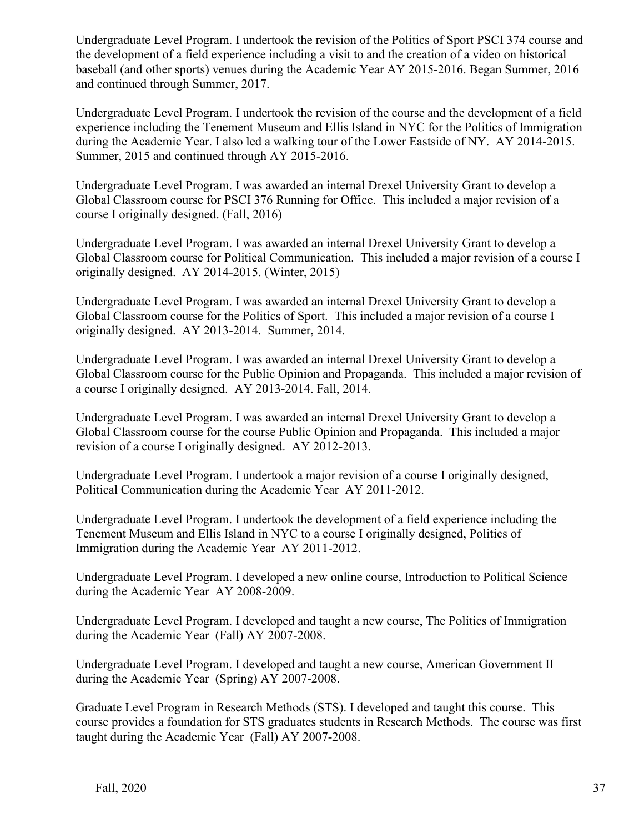Undergraduate Level Program. I undertook the revision of the Politics of Sport PSCI 374 course and the development of a field experience including a visit to and the creation of a video on historical baseball (and other sports) venues during the Academic Year AY 2015-2016. Began Summer, 2016 and continued through Summer, 2017.

Undergraduate Level Program. I undertook the revision of the course and the development of a field experience including the Tenement Museum and Ellis Island in NYC for the Politics of Immigration during the Academic Year. I also led a walking tour of the Lower Eastside of NY. AY 2014-2015. Summer, 2015 and continued through AY 2015-2016.

Undergraduate Level Program. I was awarded an internal Drexel University Grant to develop a Global Classroom course for PSCI 376 Running for Office. This included a major revision of a course I originally designed. (Fall, 2016)

Undergraduate Level Program. I was awarded an internal Drexel University Grant to develop a Global Classroom course for Political Communication. This included a major revision of a course I originally designed. AY 2014-2015. (Winter, 2015)

Undergraduate Level Program. I was awarded an internal Drexel University Grant to develop a Global Classroom course for the Politics of Sport. This included a major revision of a course I originally designed. AY 2013-2014. Summer, 2014.

Undergraduate Level Program. I was awarded an internal Drexel University Grant to develop a Global Classroom course for the Public Opinion and Propaganda. This included a major revision of a course I originally designed. AY 2013-2014. Fall, 2014.

Undergraduate Level Program. I was awarded an internal Drexel University Grant to develop a Global Classroom course for the course Public Opinion and Propaganda. This included a major revision of a course I originally designed. AY 2012-2013.

Undergraduate Level Program. I undertook a major revision of a course I originally designed, Political Communication during the Academic Year AY 2011-2012.

Undergraduate Level Program. I undertook the development of a field experience including the Tenement Museum and Ellis Island in NYC to a course I originally designed, Politics of Immigration during the Academic Year AY 2011-2012.

Undergraduate Level Program. I developed a new online course, Introduction to Political Science during the Academic Year AY 2008-2009.

Undergraduate Level Program. I developed and taught a new course, The Politics of Immigration during the Academic Year (Fall) AY 2007-2008.

Undergraduate Level Program. I developed and taught a new course, American Government II during the Academic Year (Spring) AY 2007-2008.

Graduate Level Program in Research Methods (STS). I developed and taught this course. This course provides a foundation for STS graduates students in Research Methods. The course was first taught during the Academic Year (Fall) AY 2007-2008.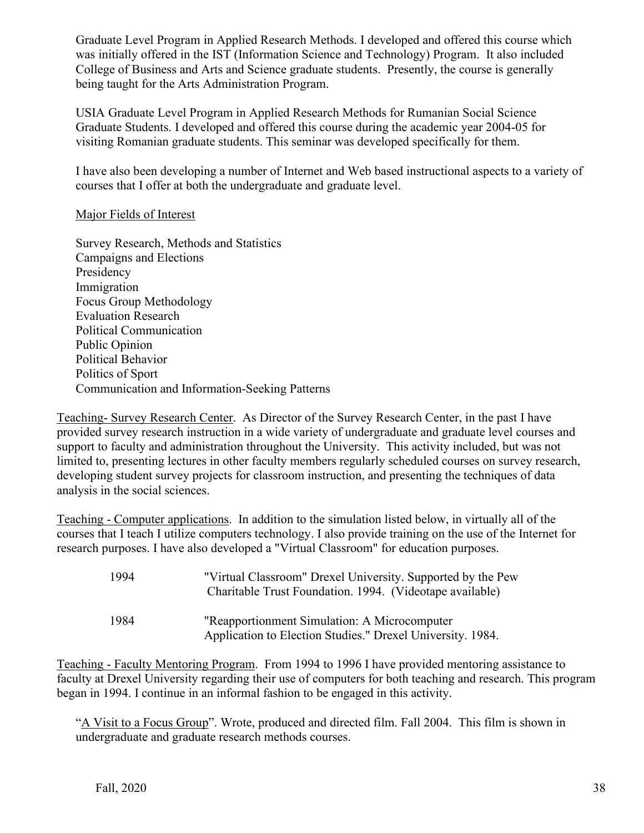Graduate Level Program in Applied Research Methods. I developed and offered this course which was initially offered in the IST (Information Science and Technology) Program. It also included College of Business and Arts and Science graduate students. Presently, the course is generally being taught for the Arts Administration Program.

USIA Graduate Level Program in Applied Research Methods for Rumanian Social Science Graduate Students. I developed and offered this course during the academic year 2004-05 for visiting Romanian graduate students. This seminar was developed specifically for them.

I have also been developing a number of Internet and Web based instructional aspects to a variety of courses that I offer at both the undergraduate and graduate level.

## Major Fields of Interest

Survey Research, Methods and Statistics Campaigns and Elections Presidency Immigration Focus Group Methodology Evaluation Research Political Communication Public Opinion Political Behavior Politics of Sport Communication and Information-Seeking Patterns

Teaching- Survey Research Center. As Director of the Survey Research Center, in the past I have provided survey research instruction in a wide variety of undergraduate and graduate level courses and support to faculty and administration throughout the University. This activity included, but was not limited to, presenting lectures in other faculty members regularly scheduled courses on survey research, developing student survey projects for classroom instruction, and presenting the techniques of data analysis in the social sciences.

Teaching - Computer applications. In addition to the simulation listed below, in virtually all of the courses that I teach I utilize computers technology. I also provide training on the use of the Internet for research purposes. I have also developed a "Virtual Classroom" for education purposes.

| 1994 | "Virtual Classroom" Drexel University. Supported by the Pew<br>Charitable Trust Foundation. 1994. (Videotape available) |
|------|-------------------------------------------------------------------------------------------------------------------------|
| 1984 | "Reapportionment Simulation: A Microcomputer<br>Application to Election Studies." Drexel University. 1984.              |

Teaching - Faculty Mentoring Program. From 1994 to 1996 I have provided mentoring assistance to faculty at Drexel University regarding their use of computers for both teaching and research. This program began in 1994. I continue in an informal fashion to be engaged in this activity.

"A Visit to a Focus Group". Wrote, produced and directed film. Fall 2004. This film is shown in undergraduate and graduate research methods courses.